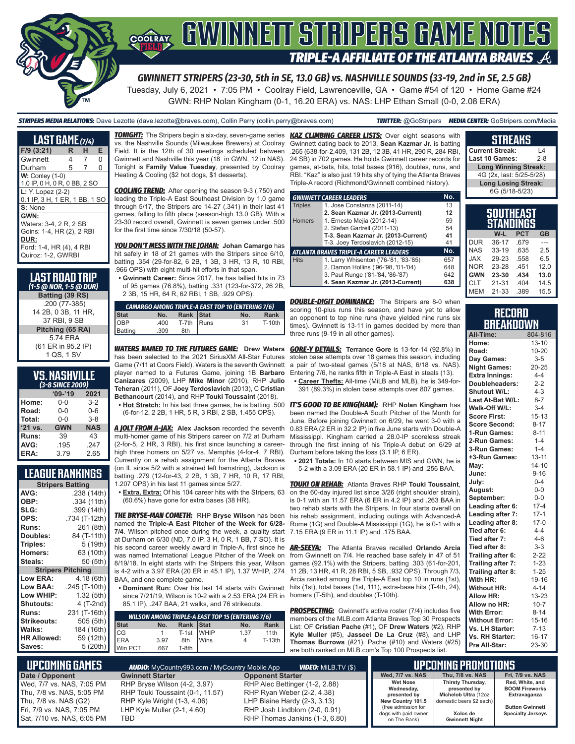

#### GWINNEIT STRIPERS GAME NOTES COOLRAY **TRIPLE-A AFFILIATE OF THE ATLANTA BRAVES**  $\mathcal{A}$

*GWINNETT STRIPERS (23-30, 5th in SE, 13.0 GB) vs. NASHVILLE SOUNDS (33-19, 2nd in SE, 2.5 GB)*

Tuesday, July 6, 2021 • 7:05 PM • Coolray Field, Lawrenceville, GA • Game #54 of 120 • Home Game #24 GWN: RHP Nolan Kingham (0-1, 16.20 ERA) vs. NAS: LHP Ethan Small (0-0, 2.08 ERA)

*STRIPERS MEDIA RELATIONS:* Dave Lezotte (dave.lezotte@braves.com), Collin Perry (collin.perry@braves.com) *TWITTER:* @GoStripers *MEDIA CENTER:* GoStripers.com/Media

| <b>LAST GAME</b> (7/4)                                                                                                |   |   |   |  |  |  |  |
|-----------------------------------------------------------------------------------------------------------------------|---|---|---|--|--|--|--|
| $F/9$ (3:21)                                                                                                          | R | н | Е |  |  |  |  |
| Gwinnett                                                                                                              | 4 | 7 | O |  |  |  |  |
| Durham                                                                                                                | 5 | 7 | 0 |  |  |  |  |
| $W:$ Conley $(1-0)$<br>1.0 IP, 0 H, 0 R, 0 BB, 2 SO                                                                   |   |   |   |  |  |  |  |
| L: Y. Lopez (2-2)<br>0.1 IP, 3 H, 1 ER, 1 BB, 1 SO                                                                    |   |   |   |  |  |  |  |
| S: None                                                                                                               |   |   |   |  |  |  |  |
| GWN:<br>Waters: 3-4, 2 R, 2 SB<br>Goins: 1-4, HR (2), 2 RBI<br>DUR:<br>Ford: 1-4, HR (4), 4 RBI<br>Quiroz: 1-2, GWRBI |   |   |   |  |  |  |  |

#### **LAST ROAD TRIP**  *(1-5 @ NOR, 1-5 @ DUR)* **Batting (39 RS)** .200 (77-385) 14 2B, 0 3B, 11 HR, 37 RBI, 9 SB **Pitching (65 RA)** 5.74 ERA

(61 ER in 95.2 IP) 1 QS, 1 SV

| <b>VS. NASHVILLE</b><br>(3-8 SINCE 2009) |            |            |  |  |  |  |  |
|------------------------------------------|------------|------------|--|--|--|--|--|
| $09 - 19$<br>2021                        |            |            |  |  |  |  |  |
| Home:                                    | 0-0        | $3-2$      |  |  |  |  |  |
| Road:                                    | $0 - 0$    | $0 - 6$    |  |  |  |  |  |
| Total:                                   | $0 - 0$    | $3 - 8$    |  |  |  |  |  |
| '21 vs.                                  | <b>GWN</b> | <b>NAS</b> |  |  |  |  |  |
| Runs:                                    | 39         | 43         |  |  |  |  |  |
| AVG:                                     | .195       | .247       |  |  |  |  |  |
| ERA:                                     | 3.79       | 2.65       |  |  |  |  |  |

#### **LEAGUE RANKINGS**

| <b>Stripers Batting</b>  |               |  |  |  |  |  |  |
|--------------------------|---------------|--|--|--|--|--|--|
| AVG:                     | .238 (14th)   |  |  |  |  |  |  |
| OBP:                     | .334 (11th)   |  |  |  |  |  |  |
| SLG:                     | .399 (14th)   |  |  |  |  |  |  |
| OPS:                     | .734 (T-12th) |  |  |  |  |  |  |
| <b>Runs:</b>             | 261 (8th)     |  |  |  |  |  |  |
| Doubles:                 | 84 (T-11th)   |  |  |  |  |  |  |
| Triples:                 | 5 (19th)      |  |  |  |  |  |  |
| Homers:                  | 63 (10th)     |  |  |  |  |  |  |
| Steals:                  | 50 (5th)      |  |  |  |  |  |  |
| <b>Stripers Pitching</b> |               |  |  |  |  |  |  |
| <b>Low ERA:</b>          | 4.18 (6th)    |  |  |  |  |  |  |
| Low BAA:                 | .245 (T-10th) |  |  |  |  |  |  |
| Low WHIP:                | 1.32 (5th)    |  |  |  |  |  |  |
| <b>Shutouts:</b>         | 4 (T-2nd)     |  |  |  |  |  |  |
| <b>Runs:</b>             | 231 (T-16th)  |  |  |  |  |  |  |
| Strikeouts:              | 505 (5th)     |  |  |  |  |  |  |
| Walks:                   | 184 (16th)    |  |  |  |  |  |  |
| <b>HR Allowed:</b>       | 59 (12th)     |  |  |  |  |  |  |
| Saves:                   | 5 (20th)      |  |  |  |  |  |  |

vs. the Nashville Sounds (Milwaukee Brewers) at Coolray Field. It is the 12th of 30 meetings scheduled between Gwinnett and Nashville this year (18 in GWN, 12 in NAS). Tonight is **Family Value Tuesday**, presented by Coolray Heating & Cooling (\$2 hot dogs, \$1 desserts).

*COOLING TREND:* After opening the season 9-3 (.750) and leading the Triple-A East Southeast Division by 1.0 game through 5/17, the Stripers are 14-27 (.341) in their last 41 games, falling to fifth place (season-high 13.0 GB). With a 23-30 record overall, Gwinnett is seven games under .500 for the first time since 7/30/18 (50-57).

*YOU DON'T MESS WITH THE JOHAN:* **Johan Camargo** has hit safely in 18 of 21 games with the Stripers since 6/10, batting .354 (29-for-82, 6 2B, 1 3B, 3 HR, 13 R, 10 RBI, .966 OPS) with eight multi-hit efforts in that span.

**• Gwinnett Career:** Since 2017, he has tallied hits in 73 of 95 games (76.8%), batting .331 (123-for-372, 26 2B, 2 3B, 15 HR, 64 R, 62 RBI, 1 SB, .929 OPS).

| <b>CAMARGO AMONG TRIPLE-A EAST TOP 10 (ENTERING 7/6)</b> |      |            |  |     |        |  |  |  |
|----------------------------------------------------------|------|------------|--|-----|--------|--|--|--|
| <b>Stat</b>                                              | No.  | Rank Stat  |  | No. | Rank   |  |  |  |
| OBP<br>Batting                                           | .400 | T-7th Runs |  | 31  | T-10th |  |  |  |
|                                                          | .309 | 8th        |  |     |        |  |  |  |

*WATERS NAMED TO THE FUTURES GAME:* **Drew Waters** has been selected to the 2021 SiriusXM All-Star Futures Game (7/11 at Coors Field). Waters is the seventh Gwinnett player named to a Futures Game, joining 1B **Barbaro Canizares** (2009), LHP **Mike Minor** (2010), RHP **Julio Teheran** (2011), OF **Joey Terdoslavich** (2013), C **Cristian Bethancourt** (2014), and RHP **Touki Toussaint** (2018).

(6-for-12, 2 2B, 1 HR, 5 R, 3 RBI, 2 SB, 1.455 OPS).

*A JOLT FROM A-JAX:* **Alex Jackson** recorded the seventh multi-homer game of his Stripers career on 7/2 at Durham (2-for-5, 2 HR, 3 RBI), his first since launching a careerhigh three homers on 5/27 vs. Memphis (4-for-4, 7 RBI). Currently on a rehab assignment for the Atlanta Braves (on IL since 5/2 with a strained left hamstring), Jackson is batting .279 (12-for-43, 2 2B, 1 3B, 7 HR, 10 R, 17 RBI,

1.207 OPS) in his last 11 games since 5/27. **• Extra, Extra:** Of his 104 career hits with the Stripers, 63 (60.6%) have gone for extra bases (38 HR).

*THE BRYSE-MAN COMETH:* RHP **Bryse Wilson** has been named the **Triple-A East Pitcher of the Week for 6/28- 7/4**. Wilson pitched once during the week, a quality start at Durham on 6/30 (ND, 7.0 IP, 3 H, 0 R, 1 BB, 7 SO). It is his second career weekly award in Triple-A, first since he *AR-SEEYA:* The Atlanta Braves recalled **Orlando Arcia** was named International League Pitcher of the Week on 8/19/18. In eight starts with the Stripers this year, Wilson games (92.1%) with the Stripers, batting .303 (61-for-201, is 4-2 with a 3.97 ERA (20 ER in 45.1 IP), 1.37 WHIP, .274 BAA, and one complete game.

since 7/21/19, Wilson is 10-2 with a 2.53 ERA (24 ER in 85.1 IP), .247 BAA, 21 walks, and 76 strikeouts.

|             |      |            |             | <b>WILSON AMONG TRIPLE-A EAST TOP 15 (ENTERING 7/6)</b> |        |
|-------------|------|------------|-------------|---------------------------------------------------------|--------|
| <b>Stat</b> | No.  | Rank Stat  |             | No.                                                     | Rank   |
| CG<br>ERA   |      | T-1st WHIP |             | 1.37                                                    | 11th   |
|             | 3.97 | 8th        | <b>Wins</b> |                                                         | T-13th |
| IWin PCT    | 667  | T-8th      |             |                                                         |        |

*TONIGHT:* The Stripers begin a six-day, seven-game series *KAZ CLIMBING CAREER LISTS:* Over eight seasons with Gwinnett dating back to 2013, **Sean Kazmar Jr.** is batting .265 (638-for-2,409, 131 2B, 12 3B, 41 HR, 290 R, 284 RBI, 24 SB) in 702 games. He holds Gwinnett career records for games, at-bats, hits, total bases (916), doubles, runs, and RBI. "Kaz" is also just 19 hits shy of tying the Atlanta Braves Triple-A record (Richmond/Gwinnett combined history).

|                                               | <b>GWINNETT CAREER LEADERS</b>        | No. |  |  |  |  |
|-----------------------------------------------|---------------------------------------|-----|--|--|--|--|
| <b>Triples</b>                                | 1. Jose Constanza (2011-14)           | 13  |  |  |  |  |
|                                               | 2. Sean Kazmar Jr. (2013-Current)     | 12  |  |  |  |  |
| <b>Homers</b>                                 | 1. Ernesto Mejia (2012-14)            | 59  |  |  |  |  |
|                                               | 2. Stefan Gartrell (2011-13)          | 54  |  |  |  |  |
|                                               | T-3. Sean Kazmar Jr. (2013-Current)   | 41  |  |  |  |  |
|                                               | T-3. Joey Terdoslavich (2012-15)      | 41  |  |  |  |  |
| No.<br>ATLANTA BRAVES TRIPLE-A CAREER LEADERS |                                       |     |  |  |  |  |
| <b>Hits</b>                                   | 1. Larry Whisenton ('76-'81, '83-'85) | 657 |  |  |  |  |
|                                               | 2. Damon Hollins ('96-'98, '01-'04)   | 648 |  |  |  |  |
|                                               | 3. Paul Runge ('81-'84, '86-'87)      | 642 |  |  |  |  |
|                                               | 4. Sean Kazmar Jr. (2013-Current)     | 638 |  |  |  |  |

**DOUBLE-DIGIT DOMINANCE:** The Stripers are 8-0 when scoring 10-plus runs this season, and have yet to allow an opponent to top nine runs (have yielded nine runs six times). Gwinnett is 13-11 in games decided by more than three runs (9-19 in all other games).

*GORE-Y DETAILS:* **Terrance Gore** is 13-for-14 (92.8%) in stolen base attempts over 18 games this season, including a pair of two-steal games (5/18 at NAS, 6/18 vs. NAS). Entering 7/6, he ranks fifth in Triple-A East in steals (13).

**• Career Thefts:** All-time (MiLB and MLB), he is 349-for-391 (89.3%) in stolen base attempts over 807 games.

**• Hot Stretch:** In his last three games, he is batting .500 *IT'S GOOD TO BE KING(HAM):* RHP **Nolan Kingham** has been named the Double-A South Pitcher of the Month for June. Before joining Gwinnett on 6/29, he went 3-0 with a 0.83 ERA (2 ER in 32.2 IP) in five June starts with Double-A Mississippi. Kingham carried a 28.0-IP scoreless streak through the first inning of his Triple-A debut on 6/29 at Durham before taking the loss (3.1 IP, 6 ER).

**• 2021 Totals:** In 10 starts between MIS and GWN, he is 5-2 with a 3.09 ERA (20 ER in 58.1 IP) and .256 BAA.

*TOUKI ON REHAB:* Atlanta Braves RHP **Touki Toussaint**, on the 60-day injured list since 3/26 (right shoulder strain), is 0-1 with an 11.57 ERA (6 ER in 4.2 IP) and .263 BAA in two rehab starts with the Stripers. In four starts overall on his rehab assignment, including outings with Advanced-A Rome (1G) and Double-A Mississippi (1G), he is 0-1 with a 7.15 ERA (9 ER in 11.1 IP) and .175 BAA.

• <u>Dominant Run:</u> Over his last 14 starts with Gwinnett hits (1st), total bases (1st, 111), extra-base hits (T-4th, 24), from Gwinnett on 7/4. He reached base safely in 47 of 51 11 2B, 13 HR, 41 R, 28 RBI, 5 SB, .932 OPS). Through 7/3, Arcia ranked among the Triple-A East top 10 in runs (1st), homers (T-5th), and doubles (T-10th).

> **PROSPECTING:** Gwinnett's active roster (7/4) includes five members of the MLB.com Atlanta Braves Top 30 Prospects List: OF **Cristian Pache** (#1), OF **Drew Waters** (#2), RHP **Kyle Muller** (#5), **Jasseel De La Cruz** (#8), and LHP **Thomas Burrows** (#21). Pache (#10) and Waters (#25) are both ranked on MLB.com's Top 100 Prospects list.

**Current Streak:** L4 Last 10 Games: **Long Winning Streak:** 4G (2x, last: 5/25-5/28) **Long Losing Streak:** 6G (5/18-5/23) **SOUTHEAST** 

**STREAKS**

| STANDINGS  |           |            |           |  |  |  |  |
|------------|-----------|------------|-----------|--|--|--|--|
|            | W-L       | <b>PCT</b> | <b>GB</b> |  |  |  |  |
| <b>DUR</b> | $36 - 17$ | .679       |           |  |  |  |  |
| <b>NAS</b> | $33 - 19$ | .635       | 25        |  |  |  |  |
| <b>XAL</b> | 29-23     | .558       | 6.5       |  |  |  |  |
| <b>NOR</b> | 23-28     | 451        | 12.0      |  |  |  |  |
| <b>GWN</b> | 23-30     | .434       | 13.0      |  |  |  |  |
| <b>CLT</b> | $21 - 31$ | .404       | 14.5      |  |  |  |  |
| <b>MEM</b> | $21 - 33$ | .389       | 15.5      |  |  |  |  |

|                  | RECORD |  |
|------------------|--------|--|
| <b>BREAKDOWN</b> |        |  |

| All-Time:             | 804-816   |
|-----------------------|-----------|
| Home:                 | $13 - 10$ |
| Road:                 | $10 - 20$ |
| Day Games:            | $3-5$     |
| <b>Night Games:</b>   | $20 - 25$ |
| <b>Extra Innings:</b> | $4 - 4$   |
| Doubleheaders:        | $2 - 2$   |
| Shutout W/L:          | $4 - 3$   |
| Last At-Bat W/L:      | $8 - 7$   |
| Walk-Off W/L:         | $3 - 4$   |
| <b>Score First:</b>   | $15 - 13$ |
| <b>Score Second:</b>  | $8 - 17$  |
| 1-Run Games:          | $8 - 11$  |
| 2-Run Games:          | $1 - 4$   |
| 3-Run Games:          | $1 - 4$   |
| +3-Run Games:         | $13 - 11$ |
| May:                  | $14 - 10$ |
| June:                 | $9 - 16$  |
| July:                 | $0 - 4$   |
| August:               | $0-0$     |
| September:            | $0-0$     |
| Leading after 6:      | $17 - 4$  |
| Leading after 7:      | $17-1$    |
| Leading after 8:      | $17 - 0$  |
| Tied after 6:         | $4 - 4$   |
| Tied after 7:         | $4 - 6$   |
| Tied after 8:         | $3 - 3$   |
| Trailing after 6:     | $2 - 22$  |
| Trailing after 7:     | $1 - 23$  |
| Trailing after 8:     | $1 - 25$  |
| With HR:              | 19-16     |
| <b>Without HR:</b>    | $4 - 14$  |
| <b>Allow HR:</b>      | $13 - 23$ |
| Allow no HR:          | $10 - 7$  |
| <b>With Error:</b>    | $8 - 14$  |
| <b>Without Error:</b> | $15 - 16$ |
| Vs. LH Starter:       | $7 - 13$  |
| Vs. RH Starter:       | 16-17     |
| Pre All-Star:         | 23-30     |

| . UPCOMING GAMES I                                                               | <b>AUDIO:</b> MyCountry993.com / MyCountry Mobile App               |                                                                                                 | LIPCOMING PROMOTIONS                                                             |                                                                  |                                                          |
|----------------------------------------------------------------------------------|---------------------------------------------------------------------|-------------------------------------------------------------------------------------------------|----------------------------------------------------------------------------------|------------------------------------------------------------------|----------------------------------------------------------|
| Date / Opponent                                                                  | <b>Gwinnett Starter</b>                                             | <b>Opponent Starter</b>                                                                         | Wed. 7/7 vs. NAS                                                                 | <b>Thu. 7/8 vs. NAS</b>                                          | <b>Fri. 7/9 vs. NAS</b>                                  |
| Wed, 7/7 vs. NAS, 7:05 PM<br>Thu, 7/8 vs. NAS, 5:05 PM                           | RHP Bryse Wilson (4-2, 3.97)<br>RHP Touki Toussaint (0-1, 11.57)    | RHP Alec Bettinger (1-2, 2.88)<br>RHP Ryan Weber (2-2, 4.38)                                    | <b>Wet Nose</b><br>Wednesday,<br>presented by                                    | <b>Thirsty Thursday,</b><br>presented by<br>Michelob Ultra (12oz | Red, White, and<br><b>BOOM Fireworks</b><br>Extravaganza |
| Thu, 7/8 vs. NAS (G2)<br>Fri, 7/9 vs. NAS, 7:05 PM<br>Sat, 7/10 vs. NAS, 6:05 PM | RHP Kyle Wright (1-3, 4.06)<br>LHP Kyle Muller $(2-1, 4.60)$<br>TBD | LHP Blaine Hardy (2-3, 3.13)<br>RHP Josh Lindblom (2-0, 0.91)<br>RHP Thomas Jankins (1-3, 6.80) | New Country 101.5<br>(free admission for<br>dogs with paid owner<br>on The Bank) | domestic beers \$2 each)<br>Xolos de<br><b>Gwinnett Night</b>    | <b>Button Gwinnett</b><br><b>Specialty Jerseys</b>       |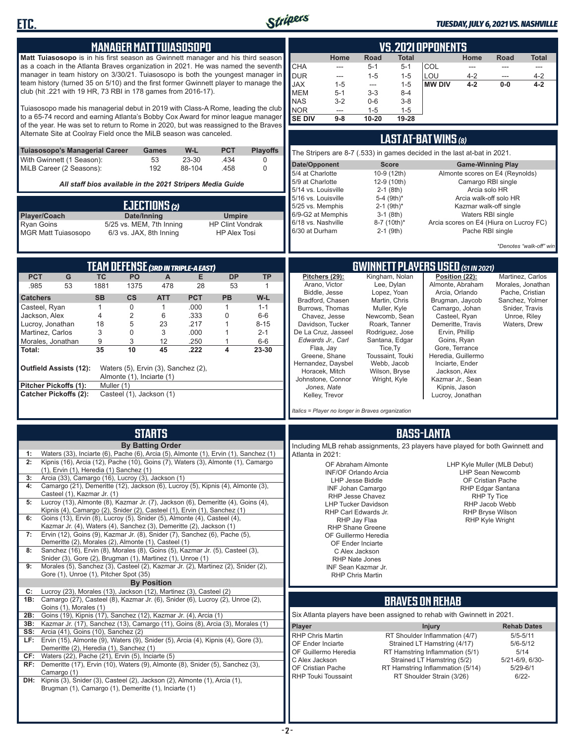

**ETC.**

#### *TUESDAY, JULY 6, 2021 VS. NASHVILLE*

|                                                                                                                                                                                   |                                                                                       |                                            |                                                                                                                                  | MANAGER MATT TUIASOSOPO                    |                         |                                            |                                                                               |                             |                                                 |                    | <b>VS.2021 OPPONENTS</b>                                       |                          |                                         |                                   |
|-----------------------------------------------------------------------------------------------------------------------------------------------------------------------------------|---------------------------------------------------------------------------------------|--------------------------------------------|----------------------------------------------------------------------------------------------------------------------------------|--------------------------------------------|-------------------------|--------------------------------------------|-------------------------------------------------------------------------------|-----------------------------|-------------------------------------------------|--------------------|----------------------------------------------------------------|--------------------------|-----------------------------------------|-----------------------------------|
| Matt Tuiasosopo is in his first season as Gwinnett manager and his third season                                                                                                   |                                                                                       |                                            |                                                                                                                                  |                                            |                         |                                            |                                                                               | Home                        | Road                                            | <b>Total</b>       |                                                                | Home                     | Road                                    | <b>Total</b>                      |
| as a coach in the Atlanta Braves organization in 2021. He was named the seventh                                                                                                   |                                                                                       |                                            |                                                                                                                                  |                                            |                         |                                            | <b>CHA</b>                                                                    | ---                         | $5 - 1$                                         | $5 - 1$            | COL                                                            | ---                      | ---                                     | ---                               |
| manager in team history on 3/30/21. Tuiasosopo is both the youngest manager in                                                                                                    |                                                                                       |                                            |                                                                                                                                  |                                            |                         |                                            | <b>DUR</b>                                                                    | ---                         | $1 - 5$                                         | $1 - 5$            | LOU                                                            | $4 - 2$                  |                                         | $4 - 2$                           |
| team history (turned 35 on 5/10) and the first former Gwinnett player to manage the<br>club (hit .221 with 19 HR, 73 RBI in 178 games from 2016-17).                              |                                                                                       |                                            |                                                                                                                                  |                                            |                         |                                            | <b>JAX</b><br><b>MEM</b>                                                      | $1 - 5$                     | ---                                             | $1 - 5$            | <b>MW DIV</b>                                                  | $4 - 2$                  | $0-0$                                   | $4 - 2$                           |
|                                                                                                                                                                                   |                                                                                       |                                            |                                                                                                                                  |                                            |                         |                                            | <b>NAS</b>                                                                    | $5 - 1$<br>$3 - 2$          | $3 - 3$<br>$0-6$                                | $8 - 4$<br>$3 - 8$ |                                                                |                          |                                         |                                   |
| Tuiasosopo made his managerial debut in 2019 with Class-A Rome, leading the club                                                                                                  |                                                                                       |                                            |                                                                                                                                  |                                            |                         |                                            | <b>NOR</b>                                                                    | ---                         | $1 - 5$                                         | $1 - 5$            |                                                                |                          |                                         |                                   |
| to a 65-74 record and earning Atlanta's Bobby Cox Award for minor league manager<br>of the year. He was set to return to Rome in 2020, but was reassigned to the Braves           |                                                                                       |                                            |                                                                                                                                  |                                            |                         | <b>SE DIV</b>                              | $9-8$                                                                         | 10-20                       | 19-28                                           |                    |                                                                |                          |                                         |                                   |
| Alternate Site at Coolray Field once the MiLB season was canceled.                                                                                                                |                                                                                       |                                            |                                                                                                                                  |                                            |                         |                                            |                                                                               |                             |                                                 |                    |                                                                |                          |                                         |                                   |
|                                                                                                                                                                                   |                                                                                       |                                            |                                                                                                                                  |                                            |                         |                                            |                                                                               |                             |                                                 |                    | <b>LAST AT-BAT WINS (8)</b>                                    |                          |                                         |                                   |
| Tuiasosopo's Managerial Career                                                                                                                                                    |                                                                                       |                                            | Games                                                                                                                            | W-L                                        | <b>PCT</b>              | <b>Playoffs</b>                            | The Stripers are 8-7 (.533) in games decided in the last at-bat in 2021.      |                             |                                                 |                    |                                                                |                          |                                         |                                   |
| With Gwinnett (1 Season):                                                                                                                                                         |                                                                                       |                                            | 53                                                                                                                               | 23-30                                      | .434                    | 0                                          | Date/Opponent                                                                 |                             | <b>Score</b>                                    |                    |                                                                | <b>Game-Winning Play</b> |                                         |                                   |
| MiLB Career (2 Seasons):                                                                                                                                                          |                                                                                       |                                            | 192                                                                                                                              | 88-104                                     | .458                    | $\mathbf 0$                                | 5/4 at Charlotte                                                              |                             | 10-9 (12th)                                     |                    |                                                                |                          | Almonte scores on E4 (Reynolds)         |                                   |
|                                                                                                                                                                                   | All staff bios available in the 2021 Stripers Media Guide                             |                                            |                                                                                                                                  |                                            |                         |                                            | 5/9 at Charlotte                                                              |                             | 12-9 (10th)                                     |                    |                                                                | Camargo RBI single       |                                         |                                   |
|                                                                                                                                                                                   |                                                                                       |                                            |                                                                                                                                  |                                            |                         | 5/14 vs. Louisville<br>5/16 vs. Louisville |                                                                               | $2-1$ (8th)<br>5-4 $(9th)*$ |                                                 |                    | Arcia solo HR                                                  | Arcia walk-off solo HR   |                                         |                                   |
|                                                                                                                                                                                   |                                                                                       |                                            | EJECTIONS(2)                                                                                                                     |                                            |                         |                                            | 5/25 vs. Memphis                                                              |                             | $2-1$ (9th) <sup>*</sup>                        |                    |                                                                |                          | Kazmar walk-off single                  |                                   |
| Player/Coach                                                                                                                                                                      |                                                                                       | Date/Inning                                |                                                                                                                                  |                                            | <b>Umpire</b>           |                                            | 6/9-G2 at Memphis                                                             |                             | $3-1$ (8th)                                     |                    |                                                                | Waters RBI single        |                                         |                                   |
| <b>Ryan Goins</b>                                                                                                                                                                 |                                                                                       |                                            | 5/25 vs. MEM, 7th Inning                                                                                                         |                                            | <b>HP Clint Vondrak</b> |                                            | 6/18 vs. Nashville<br>6/30 at Durham                                          |                             | 8-7 (10th)*<br>$2-1$ (9th)                      |                    |                                                                | Pache RBI single         | Arcia scores on E4 (Hiura on Lucroy FC) |                                   |
| <b>MGR Matt Tuiasosopo</b>                                                                                                                                                        |                                                                                       |                                            | 6/3 vs. JAX, 8th Inning                                                                                                          |                                            | <b>HP Alex Tosi</b>     |                                            |                                                                               |                             |                                                 |                    |                                                                |                          |                                         |                                   |
|                                                                                                                                                                                   |                                                                                       |                                            |                                                                                                                                  |                                            |                         |                                            |                                                                               |                             |                                                 |                    |                                                                |                          |                                         | *Denotes "walk-off" win           |
|                                                                                                                                                                                   |                                                                                       |                                            |                                                                                                                                  |                                            |                         |                                            |                                                                               |                             |                                                 |                    |                                                                |                          |                                         |                                   |
|                                                                                                                                                                                   |                                                                                       |                                            |                                                                                                                                  | <b>TEAM DEFENSE (3RD IN TRIPLE-A EAST)</b> |                         |                                            |                                                                               |                             | <b>GWINNETT PLAYERS USED (51 IN 2021)</b>       |                    |                                                                |                          |                                         | Martinez. Carlos                  |
| <b>PCT</b><br>G<br>.985<br>53                                                                                                                                                     | <b>TC</b><br>1881                                                                     | <b>PO</b><br>1375                          | A<br>478                                                                                                                         | E<br>28                                    | <b>DP</b><br>53         | <b>TP</b><br>$\mathbf{1}$                  | Pitchers (29):<br>Arano, Victor                                               |                             | Kingham, Nolan<br>Lee, Dylan                    |                    | Position (22):<br>Almonte, Abraham                             |                          |                                         | Morales, Jonathan                 |
|                                                                                                                                                                                   | <b>SB</b>                                                                             | $\mathsf{cs}$                              |                                                                                                                                  | <b>PCT</b>                                 | <b>PB</b>               | W-L                                        | Biddle, Jesse                                                                 |                             | Lopez, Yoan                                     |                    | Arcia, Orlando                                                 |                          |                                         | Pache, Cristian                   |
| <b>Catchers</b><br>Casteel, Ryan                                                                                                                                                  | $\mathbf{1}$                                                                          | $\mathbf 0$                                | <b>ATT</b><br>$\mathbf{1}$                                                                                                       | .000                                       | $\mathbf{1}$            | $1 - 1$                                    | Bradford, Chasen<br>Burrows, Thomas                                           |                             | Martin, Chris<br>Muller, Kyle                   |                    | Brugman, Jaycob<br>Camargo, Johan                              |                          |                                         | Sanchez, Yolmer<br>Snider, Travis |
| Jackson, Alex                                                                                                                                                                     | 4                                                                                     | 2                                          | 6                                                                                                                                | .333                                       | $\mathbf 0$             | $6-6$                                      | Chavez, Jesse                                                                 |                             | Newcomb, Sean                                   |                    | Casteel, Ryan                                                  |                          |                                         | Unroe, Riley                      |
| Lucroy, Jonathan                                                                                                                                                                  | 18                                                                                    | 5                                          | 23                                                                                                                               | .217                                       | $\mathbf{1}$            | 8-15                                       | Davidson, Tucker                                                              |                             | Roark, Tanner                                   |                    | Demeritte, Travis                                              |                          |                                         | Waters, Drew                      |
| Martinez, Carlos                                                                                                                                                                  | 3                                                                                     | 0                                          | 3                                                                                                                                | .000                                       | 1<br>$\mathbf{1}$       | $2 - 1$                                    | De La Cruz, Jasseel<br>Edwards Jr., Carl                                      |                             | Rodriguez, Jose<br>Santana, Edgar               |                    | Ervin, Phillip<br>Goins, Ryan                                  |                          |                                         |                                   |
| Morales, Jonathan<br>Total:                                                                                                                                                       | 9<br>35                                                                               | 3<br>10                                    | 12<br>45                                                                                                                         | .250<br>.222                               | 4                       | $6-6$<br>23-30                             | Flaa, Jay                                                                     |                             | Tice, Ty                                        |                    | Gore, Terrance                                                 |                          |                                         |                                   |
|                                                                                                                                                                                   |                                                                                       |                                            |                                                                                                                                  |                                            |                         |                                            | Greene, Shane                                                                 |                             | Toussaint, Touki                                |                    | Heredia, Guillermo                                             |                          |                                         |                                   |
| <b>Outfield Assists (12):</b>                                                                                                                                                     |                                                                                       |                                            | Waters (5), Ervin (3), Sanchez (2),                                                                                              |                                            |                         |                                            | Hernandez, Daysbel<br>Horacek, Mitch                                          |                             | Webb, Jacob<br>Wilson, Bryse                    |                    | Inciarte, Ender<br>Jackson, Alex                               |                          |                                         |                                   |
|                                                                                                                                                                                   |                                                                                       | Almonte (1), Inciarte (1)                  |                                                                                                                                  |                                            |                         |                                            | Johnstone, Connor                                                             |                             | Wright, Kyle                                    |                    | Kazmar Jr., Sean                                               |                          |                                         |                                   |
| Pitcher Pickoffs (1):                                                                                                                                                             | Muller (1)                                                                            |                                            |                                                                                                                                  |                                            |                         |                                            | Jones, Nate                                                                   |                             |                                                 |                    | Kipnis, Jason                                                  |                          |                                         |                                   |
| <b>Catcher Pickoffs (2):</b>                                                                                                                                                      |                                                                                       | Casteel (1), Jackson (1)                   |                                                                                                                                  |                                            |                         |                                            | Kelley, Trevor                                                                |                             |                                                 |                    | Lucroy, Jonathan                                               |                          |                                         |                                   |
|                                                                                                                                                                                   |                                                                                       |                                            |                                                                                                                                  |                                            |                         |                                            | Italics = Player no longer in Braves organization                             |                             |                                                 |                    |                                                                |                          |                                         |                                   |
|                                                                                                                                                                                   |                                                                                       |                                            |                                                                                                                                  |                                            |                         |                                            |                                                                               |                             |                                                 |                    |                                                                |                          |                                         |                                   |
|                                                                                                                                                                                   |                                                                                       |                                            | <b>STARTS</b>                                                                                                                    |                                            |                         |                                            |                                                                               |                             |                                                 | <b>BASS-LANTA</b>  |                                                                |                          |                                         |                                   |
|                                                                                                                                                                                   |                                                                                       |                                            | <b>By Batting Order</b>                                                                                                          |                                            |                         |                                            | Including MLB rehab assignments, 23 players have played for both Gwinnett and |                             |                                                 |                    |                                                                |                          |                                         |                                   |
| Waters (33), Inciarte (6), Pache (6), Arcia (5), Almonte (1), Ervin (1), Sanchez (1)<br>1:                                                                                        |                                                                                       |                                            |                                                                                                                                  |                                            |                         |                                            | Atlanta in 2021:                                                              |                             |                                                 |                    |                                                                |                          |                                         |                                   |
| 2:<br>Kipnis (16), Arcia (12), Pache (10), Goins (7), Waters (3), Almonte (1), Camargo<br>$(1)$ , Ervin $(1)$ , Heredia $(1)$ Sanchez $(1)$                                       |                                                                                       |                                            |                                                                                                                                  |                                            |                         |                                            |                                                                               |                             | OF Abraham Almonte                              |                    |                                                                |                          | LHP Kyle Muller (MLB Debut)             |                                   |
| Arcia (33), Camargo (16), Lucroy (3), Jackson (1)<br>3:                                                                                                                           |                                                                                       |                                            |                                                                                                                                  |                                            |                         |                                            |                                                                               | <b>LHP Jesse Biddle</b>     | INF/OF Orlando Arcia                            |                    |                                                                |                          | LHP Sean Newcomb<br>OF Cristian Pache   |                                   |
| Camargo (21), Demeritte (12), Jackson (6), Lucroy (5), Kipnis (4), Almonte (3),<br>4:                                                                                             |                                                                                       |                                            |                                                                                                                                  |                                            |                         |                                            |                                                                               |                             | <b>INF Johan Camargo</b>                        |                    |                                                                |                          | RHP Edgar Santana                       |                                   |
| Casteel (1), Kazmar Jr. (1)<br>Lucroy (13), Almonte (8), Kazmar Jr. (7), Jackson (6), Demeritte (4), Goins (4),<br>5:                                                             |                                                                                       |                                            |                                                                                                                                  |                                            |                         |                                            |                                                                               | RHP Jesse Chavez            | <b>LHP Tucker Davidson</b>                      |                    |                                                                |                          | RHP Ty Tice<br>RHP Jacob Webb           |                                   |
| Kipnis (4), Camargo (2), Snider (2), Casteel (1), Ervin (1), Sanchez (1)                                                                                                          |                                                                                       |                                            |                                                                                                                                  |                                            |                         |                                            |                                                                               |                             | RHP Carl Edwards Jr.                            |                    |                                                                |                          | <b>RHP Bryse Wilson</b>                 |                                   |
| Goins (13), Ervin (8), Lucroy (5), Snider (5), Almonte (4), Casteel (4),<br>6:                                                                                                    |                                                                                       |                                            |                                                                                                                                  |                                            |                         |                                            |                                                                               | RHP Jay Flaa                |                                                 |                    |                                                                |                          | <b>RHP Kyle Wright</b>                  |                                   |
| Kazmar Jr. (4), Waters (4), Sanchez (3), Demeritte (2), Jackson (1)<br>Ervin (12), Goins (9), Kazmar Jr. (8), Snider (7), Sanchez (6), Pache (5),<br>7:                           |                                                                                       |                                            |                                                                                                                                  |                                            |                         |                                            |                                                                               |                             | <b>RHP Shane Greene</b><br>OF Guillermo Heredia |                    |                                                                |                          |                                         |                                   |
| Demeritte (2), Morales (2), Almonte (1), Casteel (1)                                                                                                                              |                                                                                       |                                            |                                                                                                                                  |                                            |                         |                                            |                                                                               | OF Ender Inciarte           |                                                 |                    |                                                                |                          |                                         |                                   |
| Sanchez (16), Ervin (8), Morales (8), Goins (5), Kazmar Jr. (5), Casteel (3),<br>8:                                                                                               |                                                                                       |                                            |                                                                                                                                  |                                            |                         |                                            |                                                                               | C Alex Jackson              |                                                 |                    |                                                                |                          |                                         |                                   |
| Snider (3), Gore (2), Brugman (1), Martinez (1), Unroe (1)<br>Morales (5), Sanchez (3), Casteel (2), Kazmar Jr. (2), Martinez (2), Snider (2),<br>9:                              |                                                                                       |                                            |                                                                                                                                  |                                            |                         |                                            |                                                                               | <b>RHP Nate Jones</b>       | INF Sean Kazmar Jr.                             |                    |                                                                |                          |                                         |                                   |
| Gore (1), Unroe (1), Pitcher Spot (35)                                                                                                                                            |                                                                                       |                                            |                                                                                                                                  |                                            |                         |                                            |                                                                               | <b>RHP Chris Martin</b>     |                                                 |                    |                                                                |                          |                                         |                                   |
|                                                                                                                                                                                   |                                                                                       |                                            | <b>By Position</b>                                                                                                               |                                            |                         |                                            |                                                                               |                             |                                                 |                    |                                                                |                          |                                         |                                   |
| Lucroy (23), Morales (13), Jackson (12), Martinez (3), Casteel (2)<br>C:<br><b>1B:</b> Camargo (27), Casteel (8), Kazmar Jr. (6), Snider (6), Lucroy (2), Unroe (2),              |                                                                                       |                                            |                                                                                                                                  |                                            |                         |                                            |                                                                               |                             | <b>BRAVES ON REHAB</b>                          |                    |                                                                |                          |                                         |                                   |
| Goins (1), Morales (1)                                                                                                                                                            |                                                                                       |                                            |                                                                                                                                  |                                            |                         |                                            |                                                                               |                             |                                                 |                    |                                                                |                          |                                         |                                   |
|                                                                                                                                                                                   |                                                                                       |                                            |                                                                                                                                  |                                            |                         |                                            | Six Atlanta players have been assigned to rehab with Gwinnett in 2021.        |                             |                                                 |                    |                                                                |                          |                                         |                                   |
| Goins (19), Kipnis (17), Sanchez (12), Kazmar Jr. (4), Arcia (1)<br>2B:                                                                                                           | Kazmar Jr. (17), Sanchez (13), Camargo (11), Goins (8), Arcia (3), Morales (1)<br>3B: |                                            |                                                                                                                                  |                                            |                         |                                            | <b>Player</b>                                                                 |                             |                                                 |                    | <b>Injury</b>                                                  |                          |                                         | <b>Rehab Dates</b>                |
|                                                                                                                                                                                   |                                                                                       | Arcia (41), Goins (10), Sanchez (2)<br>SS: |                                                                                                                                  |                                            |                         |                                            | RHP Chris Martin<br>OF Ender Inciarte                                         |                             |                                                 |                    | RT Shoulder Inflammation (4/7)                                 |                          |                                         | $5/5 - 5/11$                      |
|                                                                                                                                                                                   |                                                                                       |                                            | LF: Ervin (15), Almonte (9), Waters (9), Snider (5), Arcia (4), Kipnis (4), Gore (3),<br>Demeritte (2), Heredia (1), Sanchez (1) |                                            |                         |                                            |                                                                               |                             |                                                 |                    | Strained LT Hamstring (4/17)                                   |                          |                                         | $5/6 - 5/12$                      |
|                                                                                                                                                                                   |                                                                                       |                                            |                                                                                                                                  |                                            |                         |                                            |                                                                               |                             |                                                 |                    |                                                                |                          |                                         |                                   |
| $CF:$ Waters (22), Pache (21), Ervin (5), Inciarte (5)                                                                                                                            |                                                                                       |                                            |                                                                                                                                  |                                            |                         |                                            | OF Guillermo Heredia<br>C Alex Jackson                                        |                             |                                                 |                    | RT Hamstring Inflammation (5/1)<br>Strained LT Hamstring (5/2) |                          |                                         | 5/14<br>5/21-6/9, 6/30-           |
|                                                                                                                                                                                   |                                                                                       |                                            |                                                                                                                                  |                                            |                         |                                            | OF Cristian Pache                                                             |                             |                                                 |                    | RT Hamstring Inflammation (5/14)                               |                          | $5/29 - 6/1$                            |                                   |
| RF: Demeritte (17), Ervin (10), Waters (9), Almonte (8), Snider (5), Sanchez (3),<br>Camargo (1)<br>DH: Kipnis (3), Snider (3), Casteel (2), Jackson (2), Almonte (1), Arcia (1), |                                                                                       |                                            |                                                                                                                                  |                                            |                         |                                            | <b>RHP Touki Toussaint</b>                                                    |                             |                                                 |                    | RT Shoulder Strain (3/26)                                      |                          |                                         | $6/22 -$                          |
| Brugman (1), Camargo (1), Demeritte (1), Inciarte (1)                                                                                                                             |                                                                                       |                                            |                                                                                                                                  |                                            |                         |                                            |                                                                               |                             |                                                 |                    |                                                                |                          |                                         |                                   |
|                                                                                                                                                                                   |                                                                                       |                                            |                                                                                                                                  |                                            |                         |                                            |                                                                               |                             |                                                 |                    |                                                                |                          |                                         |                                   |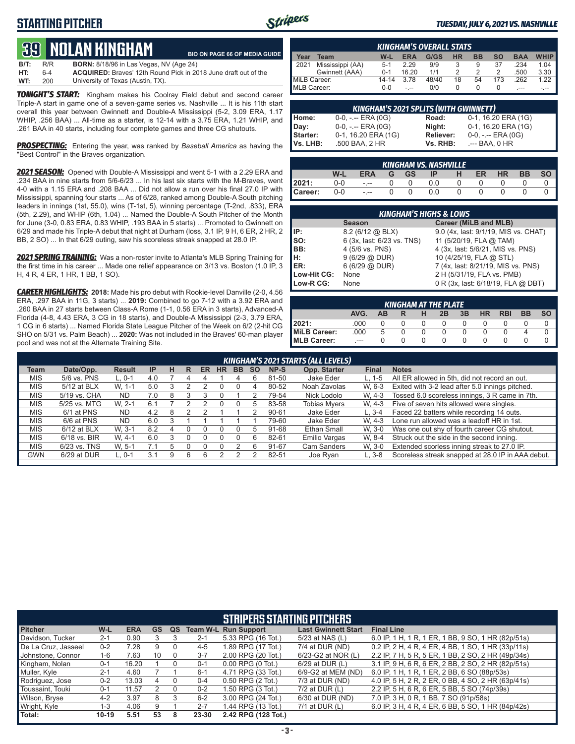### **STARTING PITCHER**



#### *TUESDAY, JULY 6, 2021 VS. NASHVILLE*

# **39****NOLAN KINGHam**

|      |         | <b>JEL BIOLAN TURDITANI</b>                                            | <b>BIO ON PAGE 66 OF MEDIA GUIDE</b> |
|------|---------|------------------------------------------------------------------------|--------------------------------------|
| B/T: | R/R     | <b>BORN:</b> 8/18/96 in Las Vegas, NV (Age 24)                         |                                      |
| HT:  | $6 - 4$ | <b>ACQUIRED:</b> Brayes' 12th Round Pick in 2018 June draft out of the |                                      |
| WT:  | 200     | University of Texas (Austin, TX).                                      |                                      |

**TONIGHT'S START:** Kingham makes his Coolray Field debut and second career Triple-A start in game one of a seven-game series vs. Nashville ... It is his 11th start overall this year between Gwinnett and Double-A Mississippi (5-2, 3.09 ERA, 1.17 WHIP, .256 BAA) ... All-time as a starter, is 12-14 with a 3.75 ERA, 1.21 WHIP, and .261 BAA in 40 starts, including four complete games and three CG shutouts.

**PROSPECTING:** Entering the year, was ranked by *Baseball America* as having the "Best Control" in the Braves organization.

*2021 SEASON:* Opened with Double-A Mississippi and went 5-1 with a 2.29 ERA and .234 BAA in nine starts from 5/6-6/23 ... In his last six starts with the M-Braves, went 4-0 with a 1.15 ERA and .208 BAA ... Did not allow a run over his final 27.0 IP with Mississippi, spanning four starts ... As of 6/28, ranked among Double-A South pitching leaders in innings (1st, 55.0), wins (T-1st, 5), winning percentage (T-2nd, .833), ERA (5th, 2.29), and WHIP (6th, 1.04) ... Named the Double-A South Pitcher of the Month for June (3-0, 0.83 ERA, 0.83 WHIP, .193 BAA in 5 starts) ... Promoted to Gwinnett on 6/29 and made his Triple-A debut that night at Durham (loss, 3.1 IP, 9 H, 6 ER, 2 HR, 2 BB, 2 SO) ... In that 6/29 outing, saw his scoreless streak snapped at 28.0 IP.

*2021 SPRING TRAINING:* Was a non-roster invite to Atlanta's MLB Spring Training for the first time in his career ... Made one relief appearance on 3/13 vs. Boston (1.0 IP, 3 H, 4 R, 4 ER, 1 HR, 1 BB, 1 SO).

*CAREER HIGHLIGHTS:* **2018:** Made his pro debut with Rookie-level Danville (2-0, 4.56 ERA, .297 BAA in 11G, 3 starts) ... **2019:** Combined to go 7-12 with a 3.92 ERA and .260 BAA in 27 starts between Class-A Rome (1-1, 0.56 ERA in 3 starts), Advanced-A Florida (4-8, 4.43 ERA, 3 CG in 18 starts), and Double-A Mississippi (2-3, 3.79 ERA, 1 CG in 6 starts) ... Named Florida State League Pitcher of the Week on 6/2 (2-hit CG SHO on 5/31 vs. Palm Beach) ... **2020:** Was not included in the Braves' 60-man player pool and was not at the Alternate Training Site.

|              | <b>KINGHAM'S OVERALL STATS</b> |           |            |       |    |           |     |            |             |  |  |  |
|--------------|--------------------------------|-----------|------------|-------|----|-----------|-----|------------|-------------|--|--|--|
| Year         | Team                           | W-L       | <b>ERA</b> | G/GS  | НR | <b>BB</b> | SΟ  | <b>BAA</b> | <b>WHIP</b> |  |  |  |
| 12021        | Mississippi (AA)               | $5 - 1$   | 2.29       | 9/9   |    | 9         | 37  | .234       | 1.04        |  |  |  |
|              | Gwinnett (AAA)                 | $0 - 1$   | 16.20      | 1/1   |    |           |     | .500       | 3.30        |  |  |  |
| MiLB Career: |                                | $14 - 14$ | 3.78       | 48/40 | 18 | 54        | 173 | .262       | 1.22        |  |  |  |
| MLB Career:  |                                | $0 - 0$   |            | 0/0   |    |           |     |            |             |  |  |  |

|          | <b>KINGHAM'S 2021 SPLITS (WITH GWINNETT)</b> |           |                     |
|----------|----------------------------------------------|-----------|---------------------|
| Home:    | $0-0, - -$ ERA $(0G)$                        | Road:     | 0-1, 16.20 ERA (1G) |
| Day:     | $0-0, - -$ ERA $(0G)$                        | Night:    | 0-1, 16.20 ERA (1G) |
| Starter: | 0-1, 16.20 ERA (1G)                          | Reliever: | $0-0, - -$ ERA (0G) |
| Vs. LHB: | .500 BAA, 2 HR                               | Vs. RHB:  | .--- BAA. 0 HR      |

|                    |       |            |                | <b>KINGHAM VS. NASHVILLE</b> |    |    |           |           |           |
|--------------------|-------|------------|----------------|------------------------------|----|----|-----------|-----------|-----------|
|                    | W-L   | <b>ERA</b> | G GS           | IP -                         | -H | ER | <b>HR</b> | <b>BB</b> | <b>SO</b> |
|                    | 0-0   | $-1 - 1$   | $\overline{0}$ | 0.0                          | 0  |    |           |           |           |
| $2021:$<br>Career: | $0-0$ | $\sim$     | $\overline{0}$ | 0.0                          | 0  |    |           |           |           |

|             | <b>KINGHAM'S HIGHS &amp; LOWS</b> |                                      |  |  |  |  |  |  |  |  |
|-------------|-----------------------------------|--------------------------------------|--|--|--|--|--|--|--|--|
|             | <b>Season</b>                     | Career (MiLB and MLB)                |  |  |  |  |  |  |  |  |
| IP:         | 8.2 (6/12 @ BLX)                  | 9.0 (4x, last: 9/1/19, MIS vs. CHAT) |  |  |  |  |  |  |  |  |
| Iso:        | 6 (3x, last: 6/23 vs. TNS)        | 11 (5/20/19, FLA @ TAM)              |  |  |  |  |  |  |  |  |
| IBB:        | 4 (5/6 vs. PNS)                   | 4 (3x, last: 5/6/21, MIS vs. PNS)    |  |  |  |  |  |  |  |  |
| IH:         | 9(6/29@DUR)                       | 10 (4/25/19, FLA @ STL)              |  |  |  |  |  |  |  |  |
| <b>IER:</b> | 6(6/29@DUR)                       | 7 (4x, last: 8/21/19, MIS vs. PNS)   |  |  |  |  |  |  |  |  |
| Low-Hit CG: | None                              | 2 H (5/31/19, FLA vs. PMB)           |  |  |  |  |  |  |  |  |
| Low-R CG:   | None                              | 0 R (3x, last: 6/18/19, FLA @ DBT)   |  |  |  |  |  |  |  |  |

| KINGHAM AT THE PLATE |      |    |   |  |    |    |           |            |           |           |  |
|----------------------|------|----|---|--|----|----|-----------|------------|-----------|-----------|--|
|                      | AVG. | AВ | R |  | 2B | 3B | <b>HR</b> | <b>RBI</b> | <b>BB</b> | <b>SO</b> |  |
| 2021:                | .000 |    |   |  |    |    |           |            |           |           |  |
| MiLB Career:         | .000 | 5  |   |  |    |    |           |            |           |           |  |
| <b>MLB Career:</b>   |      |    |   |  |    |    |           |            |           |           |  |

|            | KINGHAM'S 2021 STARTS (ALL LEVELS) |               |           |   |   |    |    |           |           |           |                     |              |                                                   |
|------------|------------------------------------|---------------|-----------|---|---|----|----|-----------|-----------|-----------|---------------------|--------------|---------------------------------------------------|
| Team       | Date/Opp.                          | <b>Result</b> | <b>IP</b> | н | R | ER | HR | <b>BB</b> | <b>SO</b> | NP-S      | Opp. Starter        | <b>Final</b> | <b>Notes</b>                                      |
| <b>MIS</b> | 5/6 vs. PNS                        | $L.0-1$       | 4.0       |   |   |    |    |           |           | 81-50     | Jake Eder           | $L. 1 - 5$   | All ER allowed in 5th, did not record an out.     |
| <b>MIS</b> | 5/12 at BLX                        | W. 1-1        | 5.0       |   |   |    |    |           |           | 80-52     | Noah Zavolas        | W. 6-3       | Exited with 3-2 lead after 5.0 innings pitched.   |
| <b>MIS</b> | 5/19 vs. CHA                       | ND.           | 7.0       | 8 |   |    |    |           |           | 79-54     | Nick Lodolo         | W. 4-3       | Tossed 6.0 scoreless innings, 3 R came in 7th.    |
| <b>MIS</b> | 5/25 vs. MTG                       | W. 2-1        | 6.1       |   |   |    |    |           | 'n.       | 83-58     | <b>Tobias Mvers</b> | W. 4-3       | Five of seven hits allowed were singles.          |
| <b>MIS</b> | 6/1 at PNS                         | <b>ND</b>     | 4.2       | 8 |   |    |    |           |           | $90 - 61$ | Jake Eder           | $L.3-4$      | Faced 22 batters while recording 14 outs.         |
| <b>MIS</b> | 6/6 at PNS                         | <b>ND</b>     | 6.0       |   |   |    |    |           |           | 79-60     | Jake Eder           | W. 4-3       | Lone run allowed was a leadoff HR in 1st.         |
| <b>MIS</b> | $6/12$ at BLX                      | W. 3-1        | 8.2       | 4 |   |    |    |           | 5         | 91-68     | Ethan Small         | W. 3-0       | Was one out shy of fourth career CG shutout.      |
| <b>MIS</b> | $6/18$ vs. BIR                     | W. 4-1        | 6.0       |   |   |    |    |           |           | 82-61     | Emilio Vargas       | W. 8-4       | Struck out the side in the second inning.         |
| <b>MIS</b> | 6/23 vs. TNS                       | W. 5-1        |           | h |   |    |    |           |           | 91-67     | Cam Sanders         | W. 3-0       | Extended scorless inning streak to 27.0 IP.       |
| <b>GWN</b> | 6/29 at DUR                        | $L, 0-1$      | 3.1       |   | 6 | 6  |    |           |           | 82-51     | Joe Ryan            | $L.3-8$      | Scoreless streak snapped at 28.0 IP in AAA debut. |
|            |                                    |               |           |   |   |    |    |           |           |           |                     |              |                                                   |

|                     |         |            |    |    |         | <b>STRIPERS STARTING PITCHERS</b> |                            |                                                    |
|---------------------|---------|------------|----|----|---------|-----------------------------------|----------------------------|----------------------------------------------------|
| <b>Pitcher</b>      | W-L     | <b>ERA</b> | GS | QS |         | <b>Team W-L Run Support</b>       | <b>Last Gwinnett Start</b> | <b>Final Line</b>                                  |
| Davidson, Tucker    | $2 - 1$ | 0.90       |    |    | $2 - 1$ | 5.33 RPG (16 Tot.)                | 5/23 at NAS (L)            | 6.0 IP, 1 H, 1 R, 1 ER, 1 BB, 9 SO, 1 HR (82p/51s) |
| De La Cruz. Jasseel | $0 - 2$ | 7.28       | 9  |    | $4 - 5$ | 1.89 RPG (17 Tot.)                | 7/4 at DUR (ND)            | 0.2 IP, 2 H, 4 R, 4 ER, 4 BB, 1 SO, 1 HR (33p/11s) |
| Johnstone, Connor   | 1-6     | 7.63       | 10 |    | $3 - 7$ | 2.00 RPG (20 Tot.)                | 6/23-G2 at NOR (L)         | 2.2 IP, 7 H, 5 R, 5 ER, 1 BB, 2 SO, 2 HR (49p/34s) |
| Kingham, Nolan      | $0 - 1$ | 16.20      |    |    | $0 - 1$ | $0.00$ RPG $(0$ Tot.)             | $6/29$ at DUR $(L)$        | 3.1 IP, 9 H, 6 R, 6 ER, 2 BB, 2 SO, 2 HR (82p/51s) |
| Muller, Kyle        | $2 - 1$ | 4.60       |    |    | $6 - 1$ | 4.71 RPG (33 Tot.)                | 6/9-G2 at MEM (ND)         | 6.0 IP, 1 H, 1 R, 1 ER, 2 BB, 6 SO (88p/53s)       |
| Rodriguez, Jose     | $0 - 2$ | 13.03      | 4  |    | $0 - 4$ | 0.50 RPG (2 Tot.)                 | 7/3 at DUR (ND)            | 4.0 IP, 5 H, 2 R, 2 ER, 0 BB, 4 SO, 2 HR (63p/41s) |
| Toussaint, Touki    | $0 - 1$ | 11.57      |    | 0  | $0 - 2$ | 1.50 RPG (3 Tot.)                 | $7/2$ at DUR (L)           | 2.2 IP, 5 H, 6 R, 6 ER, 5 BB, 5 SO (74p/39s)       |
| Wilson, Bryse       | $4 - 2$ | 3.97       | 8  |    | $6 - 2$ | 3.00 RPG (24 Tot.)                | 6/30 at DUR (ND)           | 7.0 IP, 3 H, 0 R, 1 BB, 7 SO (91p/58s)             |
| Wright, Kyle        | 1-3     | 4.06       | 9  |    | $2 - 7$ | 1.44 RPG (13 Tot.)                | $7/1$ at DUR $(L)$         | 6.0 IP, 3 H, 4 R, 4 ER, 6 BB, 5 SO, 1 HR (84p/42s) |
| Total:              | $10-19$ | 5.51       | 53 | 8  | 23-30   | 2.42 RPG (128 Tot.)               |                            |                                                    |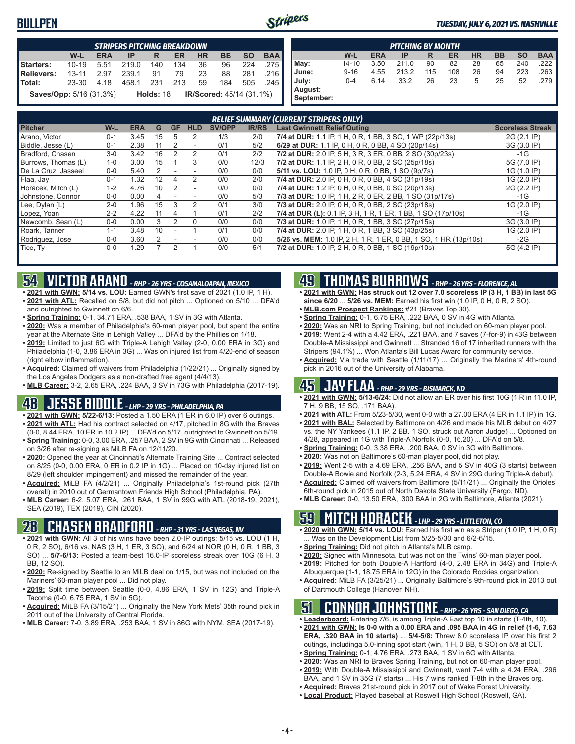#### **BULLPEN**



|                                | <b>STRIPERS PITCHING BREAKDOWN</b> |            |       |             |     |           |                                 |           |            |  |  |
|--------------------------------|------------------------------------|------------|-------|-------------|-----|-----------|---------------------------------|-----------|------------|--|--|
|                                | W-L                                | <b>ERA</b> | IP    | R           | ER  | <b>HR</b> | <b>BB</b>                       | <b>SO</b> | <b>BAA</b> |  |  |
| Starters:                      | $10 - 19$                          | 5.51       | 219.0 | 140         | 134 | 36        | 96                              | 224       | .275       |  |  |
| <b>Relievers:</b>              | $13 - 11$                          | 2.97       | 239.1 | 91          | 79  | 23        | 88                              | 281       | .216       |  |  |
| Total:                         | 23-30                              | 4.18       | 458.1 | 231         | 213 | 59        | 184                             | 505       | .245       |  |  |
| <b>Saves/Opp:</b> 5/16 (31.3%) |                                    |            |       | Holds: $18$ |     |           | <b>IR/Scored: 45/14 (31.1%)</b> |           |            |  |  |

|                       |           |            | <b>PITCHING BY MONTH</b> |     |     |           |           |           |            |
|-----------------------|-----------|------------|--------------------------|-----|-----|-----------|-----------|-----------|------------|
|                       | W-L       | <b>ERA</b> | IP                       | R   | ER  | <b>HR</b> | <b>BB</b> | <b>SO</b> | <b>BAA</b> |
| May:                  | $14 - 10$ | 3.50       | 211.0                    | 90  | 82  | 28        | 65        | 240       | .222       |
| June:                 | $9 - 16$  | 4.55       | 213.2                    | 115 | 108 | 26        | 94        | 223       | .263       |
| July:                 | $0 - 4$   | 6.14       | 33.2                     | 26  | 23  | 5         | 25        | 52        | .279       |
| August:<br>September: |           |            |                          |     |     |           |           |           |            |

|                     | <b>RELIEF SUMMARY (CURRENT STRIPERS ONLY)</b> |      |    |               |                          |               |              |                                                                  |                         |  |  |
|---------------------|-----------------------------------------------|------|----|---------------|--------------------------|---------------|--------------|------------------------------------------------------------------|-------------------------|--|--|
| <b>Pitcher</b>      | $W-L$                                         | ERA  | G  | <b>GF</b>     | <b>HLD</b>               | <b>SV/OPP</b> | <b>IR/RS</b> | <b>Last Gwinnett Relief Outing</b>                               | <b>Scoreless Streak</b> |  |  |
| Arano, Victor       | $0 - 1$                                       | 3.45 | 15 | $\mathbf b$   | 2                        | 1/3           | 2/0          | 7/4 at DUR: 1.1 IP, 1 H, 0 R, 1 BB, 3 SO, 1 WP (22p/13s)         | 2G (2.1 IP)             |  |  |
| Biddle, Jesse (L)   | $0 - 1$                                       | 2.38 |    | 2             | $\overline{\phantom{a}}$ | 0/1           | 5/2          | 6/29 at DUR: 1.1 IP, 0 H, 0 R, 0 BB, 4 SO (20p/14s)              | 3G (3.0 IP)             |  |  |
| Bradford, Chasen    | $3-0$                                         | 3.42 | 16 |               | 2                        | 0/1           | 2/2          | 7/2 at DUR: 2.0 IP, 5 H, 3 R, 3 ER, 0 BB, 2 SO (30p/23s)         | $-1G$                   |  |  |
| Burrows, Thomas (L) | $1 - 0$                                       | 3.00 | 15 |               | 3                        | 0/0           | 12/3         | 7/2 at DUR: 1.1 IP, 2 H, 0 R, 0 BB, 2 SO (25p/18s)               | 5G (7.0 IP)             |  |  |
| De La Cruz. Jasseel | $0 - 0$                                       | 5.40 | 2  |               |                          | 0/0           | 0/0          | 5/11 vs. LOU: 1.0 IP, 0 H, 0 R, 0 BB, 1 SO (9p/7s)               | 1G (1.0 IP)             |  |  |
| Flaa, Jay           | $0 - 1$                                       | .32  | 12 |               | 2                        | 0/0           | 2/0          | 7/4 at DUR: 2.0 IP, 0 H, 0 R, 0 BB, 4 SO (31p/19s)               | 1G (2.0 IP)             |  |  |
| Horacek. Mitch (L)  | $1 - 2$                                       | 4.76 | 10 | 2             | ٠                        | 0/0           | 0/0          | 7/4 at DUR: 1.2 IP, 0 H, 0 R, 0 BB, 0 SO (20p/13s)               | 2G (2.2 IP)             |  |  |
| Johnstone, Connor   | $0 - 0$                                       | 0.00 |    |               |                          | 0/0           | 5/3          | 7/3 at DUR: 1.0 IP, 1 H, 2 R, 0 ER, 2 BB, 1 SO (31p/17s)         | -1G                     |  |  |
| Lee, Dylan (L)      | $2 - 0$                                       | .96  | 15 | 3             |                          | 0/1           | 3/0          | 7/3 at DUR: 2.0 IP, 0 H, 0 R, 0 BB, 2 SO (23p/18s)               | 1G (2.0 IP)             |  |  |
| Lopez, Yoan         | $2 - 2$                                       | 4.22 | 11 | 4             |                          | 0/1           | 2/2          | 7/4 at DUR (L): 0.1 IP, 3 H, 1 R, 1 ER, 1 BB, 1 SO (17p/10s)     | $-1G$                   |  |  |
| Newcomb, Sean (L)   | $0 - 0$                                       | 0.00 | 3  | $\mathcal{P}$ | $\Omega$                 | 0/0           | 0/0          | 7/3 at DUR: 1.0 IP, 1 H, 0 R, 1 BB, 3 SO (27p/15s)               | 3G (3.0 IP)             |  |  |
| Roark, Tanner       | $1 - 1$                                       | 3.48 | 10 |               |                          | 0/1           | 0/0          | 7/4 at DUR: 2.0 IP, 1 H, 0 R, 1 BB, 3 SO (43p/25s)               | 1G (2.0 IP)             |  |  |
| Rodriguez, Jose     | $0 - 0$                                       | 3.60 |    |               |                          | 0/0           | 0/0          | 5/26 vs. MEM: 1.0 IP, 2 H, 1 R, 1 ER, 0 BB, 1 SO, 1 HR (13p/10s) | $-2G$                   |  |  |
| Tice, Ty            | $0-0$                                         | .29  |    | 2             |                          | 0/0           | 5/1          | 7/2 at DUR: 1.0 IP, 2 H, 0 R, 0 BB, 1 SO (19p/10s)               | 5G (4.2 IP)             |  |  |

### **54 VICTOR ARANO** *- RHP - 26 YRS - COSAMALOAPAN, MEXICO*

- **• 2021 with GWN: 5/14 vs. LOU:** Earned GWN's first save of 2021 (1.0 IP, 1 H). **• 2021 with ATL:** Recalled on 5/8, but did not pitch ... Optioned on 5/10 ... DFA'd and outrighted to Gwinnett on 6/6.
- **• Spring Training:** 0-1, 34.71 ERA, .538 BAA, 1 SV in 3G with Atlanta.
- **• 2020:** Was a member of Philadelphia's 60-man player pool, but spent the entire year at the Alternate Site in Lehigh Valley ... DFA'd by the Phillies on 1/18.
- **• 2019:** Limited to just 6G with Triple-A Lehigh Valley (2-0, 0.00 ERA in 3G) and Philadelphia (1-0, 3.86 ERA in 3G) ... Was on injured list from 4/20-end of season (right elbow inflammation).
- **• Acquired:** Claimed off waivers from Philadelphia (1/22/21) ... Originally signed by the Los Angeles Dodgers as a non-drafted free agent (4/4/13).

**• MLB Career:** 3-2, 2.65 ERA, .224 BAA, 3 SV in 73G with Philadelphia (2017-19).

### **48 JESSE BIDDLE** *- LHP - 29 YRS - PHILADELPHIA, PA*

**• 2021 with GWN: 5/22-6/13:** Posted a 1.50 ERA (1 ER in 6.0 IP) over 6 outings.

- **• 2021 with ATL:** Had his contract selected on 4/17, pitched in 8G with the Braves (0-0, 8.44 ERA, 10 ER in 10.2 IP) ... DFA'd on 5/17, outrighted to Gwinnett on 5/19.
- **• Spring Training:** 0-0, 3.00 ERA, .257 BAA, 2 SV in 9G with Cincinnati ... Released on 3/26 after re-signing as MiLB FA on 12/11/20.
- **• 2020:** Opened the year at Cincinnati's Alternate Training Site ... Contract selected on 8/25 (0-0, 0.00 ERA, 0 ER in 0.2 IP in 1G) ... Placed on 10-day injured list on 8/29 (left shoulder impingement) and missed the remainder of the year.
- **• Acquired:** MiLB FA (4/2/21) ... Originally Philadelphia's 1st-round pick (27th overall) in 2010 out of Germantown Friends High School (Philadelphia, PA).
- **• MLB Career:** 6-2, 5.07 ERA, .261 BAA, 1 SV in 99G with ATL (2018-19, 2021), SEA (2019), TEX (2019), CIN (2020).

#### **28 CHASEN BRADFORD** *- RHP - 31 YRS - LAS VEGAS, NV*

- **• 2021 with GWN:** All 3 of his wins have been 2.0-IP outings: 5/15 vs. LOU (1 H, 0 R, 2 SO), 6/16 vs. NAS (3 H, 1 ER, 3 SO), and 6/24 at NOR (0 H, 0 R, 1 BB, 3 SO) ... **5/7-6/13:** Posted a team-best 16.0-IP scoreless streak over 10G (6 H, 3 BB, 12 SO).
- **• 2020:** Re-signed by Seattle to an MiLB deal on 1/15, but was not included on the Mariners' 60-man player pool ... Did not play.
- **• 2019:** Split time between Seattle (0-0, 4.86 ERA, 1 SV in 12G) and Triple-A Tacoma (0-0, 6.75 ERA, 1 SV in 5G).
- **• Acquired:** MiLB FA (3/15/21) ... Originally the New York Mets' 35th round pick in 2011 out of the University of Central Florida.
- **• MLB Career:** 7-0, 3.89 ERA, .253 BAA, 1 SV in 86G with NYM, SEA (2017-19).

# **49 THOMAS BURROWS** *- RHP - 26 YRS - FLORENCE, AL*

- **• 2021 with GWN: Has struck out 12 over 7.0 scoreless IP (3 H, 1 BB) in last 5G since 6/20** ... **5/26 vs. MEM:** Earned his first win (1.0 IP, 0 H, 0 R, 2 SO).
- **• MLB.com Prospect Rankings:** #21 (Braves Top 30).
- **• Spring Training:** 0-1, 6.75 ERA, .222 BAA, 0 SV in 4G with Atlanta.
- **• 2020:** Was an NRI to Spring Training, but not included on 60-man player pool.
- **• 2019:** Went 2-4 with a 4.42 ERA, .221 BAA, and 7 saves (7-for-9) in 43G between Double-A Mississippi and Gwinnett ... Stranded 16 of 17 inherited runners with the Stripers (94.1%) ... Won Atlanta's Bill Lucas Award for community service.
- **• Acquired:** Via trade with Seattle (1/11/17) ... Originally the Mariners' 4th-round pick in 2016 out of the University of Alabama.

### **45 JAY FLAA** *- RHP - 29 YRS - BISMARCK, ND*

- **• 2021 with GWN: 5/13-6/24:** Did not allow an ER over his first 10G (1 R in 11.0 IP, 7 H, 9 BB, 15 SO, .171 BAA).
- **• 2021 with ATL:** From 5/23-5/30, went 0-0 with a 27.00 ERA (4 ER in 1.1 IP) in 1G. **• 2021 with BAL:** Selected by Baltimore on 4/26 and made his MLB debut on 4/27
- vs. the NY Yankees (1.1 IP, 2 BB, 1 SO, struck out Aaron Judge) ... Optioned on 4/28, appeared in 1G with Triple-A Norfolk (0-0, 16.20) ... DFA'd on 5/8.
- **• Spring Training:** 0-0, 3.38 ERA, .200 BAA, 0 SV in 3G with Baltimore.
- **• 2020:** Was not on Baltimore's 60-man player pool, did not play.
- **• 2019:** Went 2-5 with a 4.69 ERA, .256 BAA, and 5 SV in 40G (3 starts) between Double-A Bowie and Norfolk (2-3, 5.24 ERA, 4 SV in 29G during Triple-A debut).
- **• Acquired:** Claimed off waivers from Baltimore (5/11/21) ... Originally the Orioles' 6th-round pick in 2015 out of North Dakota State University (Fargo, ND).
- **• MLB Career:** 0-0, 13.50 ERA, .300 BAA in 2G with Baltimore, Atlanta (2021).

### **59 MITCH HORACEK** *- LHP - 29 YRS - LITTLETON, CO*

- **• 2020 with GWN: 5/14 vs. LOU:** Earned his first win as a Striper (1.0 IP, 1 H, 0 R) ... Was on the Development List from 5/25-5/30 and 6/2-6/15.
- **• Spring Training:** Did not pitch in Atlanta's MLB camp.
- **• 2020:** Signed with Minnesota, but was not on the Twins' 60-man player pool. **• 2019:** Pitched for both Double-A Hartford (4-0, 2.48 ERA in 34G) and Triple-A
- Albuquerque (1-1, 18.75 ERA in 12G) in the Colorado Rockies organization. **• Acquired:** MiLB FA (3/25/21) ... Originally Baltimore's 9th-round pick in 2013 out
- of Dartmouth College (Hanover, NH).

### **51 CONNOR JOHNSTONE** *- RHP - 26 YRS - SAN DIEGO, CA*

- **• Leaderboard:** Entering 7/6, is among Triple-A East top 10 in starts (T-4th, 10).
- **• 2021 with GWN: Is 0-0 with a 0.00 ERA and .095 BAA in 4G in relief (1-6, 7.63 ERA, .320 BAA in 10 starts)** ... **5/4-5/8:** Threw 8.0 scoreless IP over his first 2 outings, includinga 5.0-inning spot start (win, 1 H, 0 BB, 5 SO) on 5/8 at CLT.
- **• Spring Training:** 0-1, 4.76 ERA, .273 BAA, 1 SV in 6G with Atlanta.
- **• 2020:** Was an NRI to Braves Spring Training, but not on 60-man player pool.
- **• 2019:** With Double-A Mississippi and Gwinnett, went 7-4 with a 4.24 ERA, .296
- BAA, and 1 SV in 35G (7 starts) ... His 7 wins ranked T-8th in the Braves org. **• Acquired:** Braves 21st-round pick in 2017 out of Wake Forest University.
- 
- **• Local Product:** Played baseball at Roswell High School (Roswell, GA).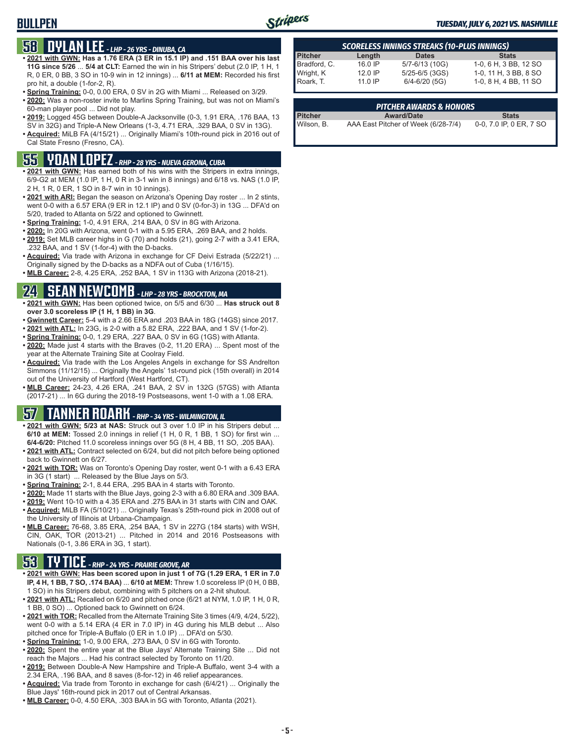#### **BULLPEN**



#### *TUESDAY, JULY 6, 2021 VS. NASHVILLE*

# **58 DYLAN LEE** *- LHP - 26 YRS - DINUBA, CA*

- **• 2021 with GWN: Has a 1.76 ERA (3 ER in 15.1 IP) and .151 BAA over his last 11G since 5/26** ... **5/4 at CLT:** Earned the win in his Stripers' debut (2.0 IP, 1 H, 1 R, 0 ER, 0 BB, 3 SO in 10-9 win in 12 innings) ... **6/11 at MEM:** Recorded his first pro hit, a double (1-for-2, R).
- **• Spring Training:** 0-0, 0.00 ERA, 0 SV in 2G with Miami ... Released on 3/29.
- **• 2020:** Was a non-roster invite to Marlins Spring Training, but was not on Miami's 60-man player pool ... Did not play.
- **• 2019:** Logged 45G between Double-A Jacksonville (0-3, 1.91 ERA, .176 BAA, 13 SV in 32G) and Triple-A New Orleans (1-3, 4.71 ERA, .329 BAA, 0 SV in 13G).
- **• Acquired:** MiLB FA (4/15/21) ... Originally Miami's 10th-round pick in 2016 out of Cal State Fresno (Fresno, CA).

# **55 YOAN LOPEZ** *- RHP - 28 YRS - NUEVA GERONA, CUBA*

- **• 2021 with GWN:** Has earned both of his wins with the Stripers in extra innings, 6/9-G2 at MEM (1.0 IP, 1 H, 0 R in 3-1 win in 8 innings) and 6/18 vs. NAS (1.0 IP, 2 H, 1 R, 0 ER, 1 SO in 8-7 win in 10 innings).
- **• 2021 with ARI:** Began the season on Arizona's Opening Day roster ... In 2 stints, went 0-0 with a 6.57 ERA (9 ER in 12.1 IP) and 0 SV (0-for-3) in 13G ... DFA'd on 5/20, traded to Atlanta on 5/22 and optioned to Gwinnett.
- **• Spring Training:** 1-0, 4.91 ERA, .214 BAA, 0 SV in 8G with Arizona.
- **• 2020:** In 20G with Arizona, went 0-1 with a 5.95 ERA, .269 BAA, and 2 holds.
- **• 2019:** Set MLB career highs in G (70) and holds (21), going 2-7 with a 3.41 ERA, .232 BAA, and 1 SV (1-for-4) with the D-backs.
- **• Acquired:** Via trade with Arizona in exchange for CF Deivi Estrada (5/22/21) ... Originally signed by the D-backs as a NDFA out of Cuba (1/16/15).
- **• MLB Career:** 2-8, 4.25 ERA, .252 BAA, 1 SV in 113G with Arizona (2018-21).

### **24 SEAN NEWCOMB** *- LHP - 28 YRS - BROCKTON, MA*

- **• 2021 with GWN:** Has been optioned twice, on 5/5 and 6/30 ... **Has struck out 8 over 3.0 scoreless IP (1 H, 1 BB) in 3G**.
- **• Gwinnett Career:** 5-4 with a 2.66 ERA and .203 BAA in 18G (14GS) since 2017.
- **• 2021 with ATL:** In 23G, is 2-0 with a 5.82 ERA, .222 BAA, and 1 SV (1-for-2).
- **• Spring Training:** 0-0, 1.29 ERA, .227 BAA, 0 SV in 6G (1GS) with Atlanta.
- **• 2020:** Made just 4 starts with the Braves (0-2, 11.20 ERA) ... Spent most of the year at the Alternate Training Site at Coolray Field.
- **• Acquired:** Via trade with the Los Angeles Angels in exchange for SS Andrelton Simmons (11/12/15) ... Originally the Angels' 1st-round pick (15th overall) in 2014 out of the University of Hartford (West Hartford, CT).
- **• MLB Career:** 24-23, 4.26 ERA, .241 BAA, 2 SV in 132G (57GS) with Atlanta (2017-21) ... In 6G during the 2018-19 Postseasons, went 1-0 with a 1.08 ERA.

# **57 TANNER ROARK** *- RHP - 34 YRS - WILMINGTON, IL*

- 2021 with GWN: 5/23 at NAS: Struck out 3 over 1.0 IP in his Stripers debut **6/10 at MEM:** Tossed 2.0 innings in relief (1 H, 0 R, 1 BB, 1 SO) for first win ... **6/4-6/20:** Pitched 11.0 scoreless innings over 5G (8 H, 4 BB, 11 SO, .205 BAA).
- **• 2021 with ATL:** Contract selected on 6/24, but did not pitch before being optioned back to Gwinnett on 6/27.
- **• 2021 with TOR:** Was on Toronto's Opening Day roster, went 0-1 with a 6.43 ERA in 3G (1 start) ... Released by the Blue Jays on 5/3.
- **• Spring Training:** 2-1, 8.44 ERA, .295 BAA in 4 starts with Toronto.
- **• 2020:** Made 11 starts with the Blue Jays, going 2-3 with a 6.80 ERA and .309 BAA.
- **• 2019:** Went 10-10 with a 4.35 ERA and .275 BAA in 31 starts with CIN and OAK.
- **• Acquired:** MiLB FA (5/10/21) ... Originally Texas's 25th-round pick in 2008 out of the University of Illinois at Urbana-Champaign.
- **• MLB Career:** 76-68, 3.85 ERA, .254 BAA, 1 SV in 227G (184 starts) with WSH, CIN, OAK, TOR (2013-21) ... Pitched in 2014 and 2016 Postseasons with Nationals (0-1, 3.86 ERA in 3G, 1 start).

#### **53 TY TICE** *- RHP - 24 YRS - PRAIRIE GROVE, AR*

- **• 2021 with GWN: Has been scored upon in just 1 of 7G (1.29 ERA, 1 ER in 7.0 IP, 4 H, 1 BB, 7 SO, .174 BAA)** ... **6/10 at MEM:** Threw 1.0 scoreless IP (0 H, 0 BB, 1 SO) in his Stripers debut, combining with 5 pitchers on a 2-hit shutout.
- **• 2021 with ATL:** Recalled on 6/20 and pitched once (6/21 at NYM, 1.0 IP, 1 H, 0 R, 1 BB, 0 SO) ... Optioned back to Gwinnett on 6/24.
- **• 2021 with TOR:** Recalled from the Alternate Training Site 3 times (4/9, 4/24, 5/22), went 0-0 with a 5.14 ERA (4 ER in 7.0 IP) in 4G during his MLB debut ... Also pitched once for Triple-A Buffalo (0 ER in 1.0 IP) ... DFA'd on 5/30.
- **• Spring Training:** 1-0, 9.00 ERA, .273 BAA, 0 SV in 6G with Toronto.
- **• 2020:** Spent the entire year at the Blue Jays' Alternate Training Site ... Did not reach the Majors ... Had his contract selected by Toronto on 11/20.
- **• 2019:** Between Double-A New Hampshire and Triple-A Buffalo, went 3-4 with a 2.34 ERA, .196 BAA, and 8 saves (8-for-12) in 46 relief appearances.
- **• Acquired:** Via trade from Toronto in exchange for cash (6/4/21) ... Originally the Blue Jays' 16th-round pick in 2017 out of Central Arkansas.
- **• MLB Career:** 0-0, 4.50 ERA, .303 BAA in 5G with Toronto, Atlanta (2021).

| <b>SCORELESS INNINGS STREAKS (10-PLUS INNINGS)</b> |         |                    |                       |  |  |  |  |  |  |  |  |
|----------------------------------------------------|---------|--------------------|-----------------------|--|--|--|--|--|--|--|--|
| Pitcher                                            | Length  | <b>Dates</b>       | <b>Stats</b>          |  |  |  |  |  |  |  |  |
| Bradford, C.                                       | 16.0 IP | 5/7-6/13 (10G)     | 1-0, 6 H, 3 BB, 12 SO |  |  |  |  |  |  |  |  |
| Wright, K                                          | 12.0 IP | $5/25 - 6/5$ (3GS) | 1-0, 11 H, 3 BB, 8 SO |  |  |  |  |  |  |  |  |
| Roark, T.                                          | 11.0 IP | $6/4 - 6/20$ (5G)  | 1-0, 8 H, 4 BB, 11 SO |  |  |  |  |  |  |  |  |

| <b>PITCHER AWARDS &amp; HONORS</b> |                                     |                         |  |  |  |  |  |  |  |
|------------------------------------|-------------------------------------|-------------------------|--|--|--|--|--|--|--|
| <b>Pitcher</b>                     | <b>Award/Date</b>                   | <b>Stats</b>            |  |  |  |  |  |  |  |
| l Wilson. B.                       | AAA East Pitcher of Week (6/28-7/4) | 0-0, 7.0 IP, 0 ER, 7 SO |  |  |  |  |  |  |  |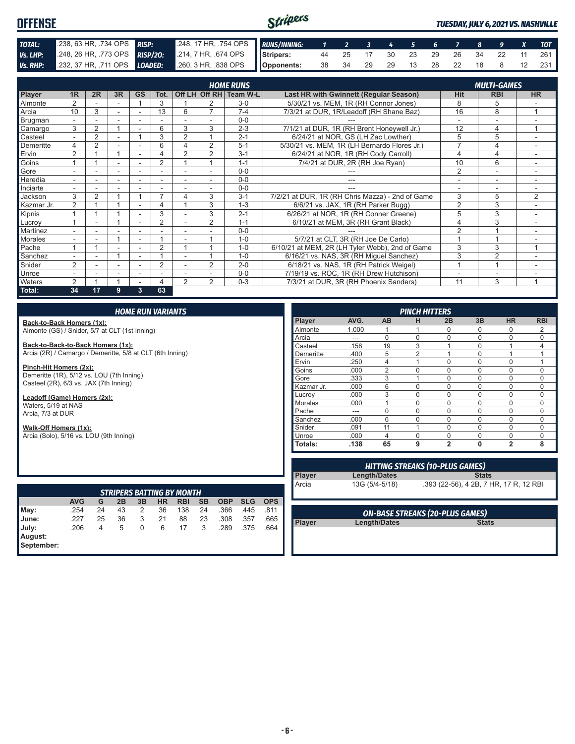#### Stripers **OFFENSE** *TUESDAY, JULY 6, 2021 VS. NASHVILLE TOTAL:* .238, 63 HR, .734 OPS *RISP:* .248, 17 HR, .754 OPS *RUNS/INNING: 1 2 3 4 5 6 7 8 9 X TOT Vs. LHP:* .248, 26 HR, .773 OPS *RISP/2O:* .214, 7 HR, .674 OPS **Stripers:** 44 25 17 30 23 29 26 34 22 11 261 *Vs. RHP:* .232, 37 HR, .711 OPS *LOADED:* .260, 3 HR, .838 OPS **Opponents:** 38 34 29 29 13 28 22 18 8 12 231

|                |                          |                |    |                          |                          |                          |                | <b>HOME RUNS</b>       |                                                  |                | <b>MULTI-GAMES</b>       |                |
|----------------|--------------------------|----------------|----|--------------------------|--------------------------|--------------------------|----------------|------------------------|--------------------------------------------------|----------------|--------------------------|----------------|
| Player         | 1R                       | 2R             | 3R | <b>GS</b>                | Tot.                     |                          |                | Off LH Off RH Team W-L | <b>Last HR with Gwinnett (Regular Season)</b>    | <b>Hit</b>     | <b>RBI</b>               | <b>HR</b>      |
| Almonte        | $\overline{2}$           |                |    |                          | 3                        |                          |                | $3-0$                  | 5/30/21 vs. MEM, 1R (RH Connor Jones)            | 8              | 5                        |                |
| Arcia          | 10                       | 3              |    |                          | 13                       | 6                        | $\overline{7}$ | $7 - 4$                | 7/3/21 at DUR, 1R/Leadoff (RH Shane Baz)         | 16             | 8                        | $\overline{ }$ |
| Brugman        |                          |                |    |                          |                          |                          |                | $0 - 0$                |                                                  |                |                          |                |
| Camargo        | 3                        | $\overline{2}$ | 4  |                          | 6                        | 3                        | 3              | $2 - 3$                | 7/1/21 at DUR, 1R (RH Brent Honeywell Jr.)       | 12             | 4                        |                |
| Casteel        | $\overline{a}$           | $\overline{2}$ | ۰  |                          | 3                        | $\overline{2}$           |                | $2 - 1$                | 6/24/21 at NOR, GS (LH Zac Lowther)              | 5              | 5                        |                |
| Demeritte      | 4                        | $\overline{2}$ |    |                          | 6                        | 4                        | 2              | $5 - 1$                | 5/30/21 vs. MEM, 1R (LH Bernardo Flores Jr.)     | $\overline{ }$ | 4                        |                |
| Ervin          | $\overline{2}$           |                |    |                          | 4                        | $\overline{2}$           | 2              | $3 - 1$                | 6/24/21 at NOR, 1R (RH Cody Carroll)             | 4              | 4                        | ٠              |
| Goins          |                          |                | ۰  |                          | $\overline{2}$           |                          |                | $1 - 1$                | 7/4/21 at DUR, 2R (RH Joe Ryan)                  | 10             | 6                        | ۰              |
| Gore           | $\overline{\phantom{a}}$ |                | ۰  |                          | $\overline{\phantom{a}}$ |                          |                | $0 - 0$                |                                                  | $\overline{2}$ |                          | ۰              |
| Heredia        | $\overline{\phantom{0}}$ |                |    |                          |                          |                          |                | $0 - 0$                |                                                  |                |                          |                |
| Inciarte       |                          |                |    |                          |                          |                          |                | $0 - 0$                |                                                  |                |                          |                |
| Jackson        | 3                        | $\overline{2}$ |    |                          | $\overline{ }$           | 4                        | 3              | $3 - 1$                | 7/2/21 at DUR, 1R (RH Chris Mazza) - 2nd of Game | 3              | 5                        | 2              |
| Kazmar Jr.     | 2                        |                |    | ۰                        | 4                        |                          | 3              | $1 - 3$                | 6/6/21 vs. JAX, 1R (RH Parker Bugg)              | $\overline{2}$ | 3                        |                |
| Kipnis         |                          |                |    |                          | 3                        |                          | 3              | $2 - 1$                | 6/26/21 at NOR, 1R (RH Conner Greene)            | 5              | 3                        |                |
| Lucroy         |                          |                |    |                          | $\overline{2}$           |                          | 2              | $1 - 1$                | 6/10/21 at MEM, 3R (RH Grant Black)              | 4              | 3                        | $\sim$         |
| Martinez       | $\overline{\phantom{0}}$ | ۰              | ۰  | $\overline{\phantom{a}}$ |                          |                          |                | $0 - 0$                |                                                  | $\overline{2}$ |                          | ٠              |
| <b>Morales</b> | $\overline{\phantom{0}}$ | ۰              |    | $\overline{\phantom{a}}$ |                          | $\overline{\phantom{a}}$ |                | $1 - 0$                | 5/7/21 at CLT, 3R (RH Joe De Carlo)              |                |                          |                |
| Pache          |                          |                |    |                          | $\overline{2}$           |                          |                | $1 - 0$                | 6/10/21 at MEM, 2R (LH Tyler Webb), 2nd of Game  | 3              | 3                        |                |
| Sanchez        |                          |                |    |                          |                          |                          |                | $1 - 0$                | 6/16/21 vs. NAS, 3R (RH Miguel Sanchez)          | 3              | $\overline{2}$           |                |
| Snider         | $\overline{2}$           |                |    |                          | $\overline{2}$           |                          | $\overline{2}$ | $2 - 0$                | 6/18/21 vs. NAS, 1R (RH Patrick Weigel)          |                | и                        |                |
| Unroe          | ÷.                       |                | ۰  | $\overline{\phantom{a}}$ | ۰                        |                          |                | $0 - 0$                | 7/19/19 vs. ROC, 1R (RH Drew Hutchison)          |                | $\overline{\phantom{a}}$ |                |
| Waters         | $\overline{2}$           |                |    |                          | 4                        | $\overline{2}$           | 2              | $0 - 3$                | 7/3/21 at DUR, 3R (RH Phoenix Sanders)           | 11             | 3                        |                |
| Total:         | 34                       | 17             | 9  | 3                        | 63                       |                          |                |                        |                                                  |                |                          |                |

#### *HOME RUN VARIANTS*

**Back-to-Back Homers (1x):** Almonte (GS) / Snider, 5/7 at CLT (1st Inning)

**Back-to-Back-to-Back Homers (1x):** Arcia (2R) / Camargo / Demeritte, 5/8 at CLT (6th Inning)

**Pinch-Hit Homers (2x):** Demeritte (1R), 5/12 vs. LOU (7th Inning) Casteel (2R), 6/3 vs. JAX (7th Inning)

**Leadoff (Game) Homers (2x):** Waters, 5/19 at NAS Arcia, 7/3 at DUR

**Walk-Off Homers (1x):** Arcia (Solo), 5/16 vs. LOU (9th Inning)

| <b>PINCH HITTERS</b> |       |                |                |                |          |                |                |
|----------------------|-------|----------------|----------------|----------------|----------|----------------|----------------|
| Player               | AVG.  | <b>AB</b>      | н              | 2B             | 3B       | <b>HR</b>      | <b>RBI</b>     |
| Almonte              | 1.000 |                |                | 0              | O        | 0              | $\overline{2}$ |
| Arcia                | ---   | $\Omega$       | 0              | 0              | $\Omega$ | $\mathbf 0$    | $\Omega$       |
| Casteel              | .158  | 19             | 3              | 1              | $\Omega$ | 1              | 4              |
| Demeritte            | .400  | 5              | $\overline{2}$ |                | $\Omega$ | 1              |                |
| Ervin                | .250  | 4              |                | $\Omega$       | $\Omega$ | $\mathbf 0$    |                |
| Goins                | .000  | $\overline{2}$ | 0              | $\Omega$       | $\Omega$ | $\mathbf 0$    | 0              |
| Gore                 | .333  | 3              | 1              | 0              | $\Omega$ | $\Omega$       | $\Omega$       |
| Kazmar Jr.           | .000  | 6              | 0              | $\Omega$       | $\Omega$ | 0              | $\Omega$       |
| Lucrov               | .000  | 3              | 0              | $\Omega$       | $\Omega$ | $\Omega$       | $\Omega$       |
| <b>Morales</b>       | .000  |                | 0              | $\Omega$       | $\Omega$ | $\mathbf 0$    | $\Omega$       |
| Pache                | ---   | $\Omega$       | 0              | 0              | $\Omega$ | $\mathbf 0$    | 0              |
| Sanchez              | .000  | 6              | $\Omega$       | $\Omega$       | $\Omega$ | $\mathbf 0$    | $\Omega$       |
| Snider               | .091  | 11             | 1              | $\Omega$       | $\Omega$ | $\mathbf 0$    | $\Omega$       |
| Unroe                | .000  | $\overline{4}$ | $\Omega$       | $\Omega$       | $\Omega$ | $\mathbf 0$    | $\Omega$       |
| Totals:              | .138  | 65             | 9              | $\overline{2}$ | $\bf{0}$ | $\overline{2}$ | 8              |

| <b>STRIPERS BATTING BY MONTH</b> |            |    |    |    |    |            |           |            |            |            |
|----------------------------------|------------|----|----|----|----|------------|-----------|------------|------------|------------|
|                                  | <b>AVG</b> | G  | 2B | 3B | HR | <b>RBI</b> | <b>SB</b> | <b>OBP</b> | <b>SLG</b> | <b>OPS</b> |
| May:                             | .254       | 24 | 43 | 2  | 36 | 138        | 24        | .366       | .445       | .811       |
| <b>June:</b>                     | .227       | 25 | 36 | 3  | 21 | 88         | 23        | .308       | .357       | .665       |
| July:                            | .206       | 4  | 5  | 0  | 6  | 17         | 3         | .289       | .375       | .664       |
| August:                          |            |    |    |    |    |            |           |            |            |            |
| September:                       |            |    |    |    |    |            |           |            |            |            |

| <b>HITTING STREAKS (10-PLUS GAMES)</b> |                |                                        |  |  |  |
|----------------------------------------|----------------|----------------------------------------|--|--|--|
| <b>Player</b>                          | Length/Dates   | <b>Stats</b>                           |  |  |  |
| Arcia                                  | 13G (5/4-5/18) | .393 (22-56), 4 2B, 7 HR, 17 R, 12 RBI |  |  |  |
|                                        |                |                                        |  |  |  |
|                                        |                |                                        |  |  |  |

**Player Length/Dates** 

*ON-BASE STREAKS (20-PLUS GAMES)*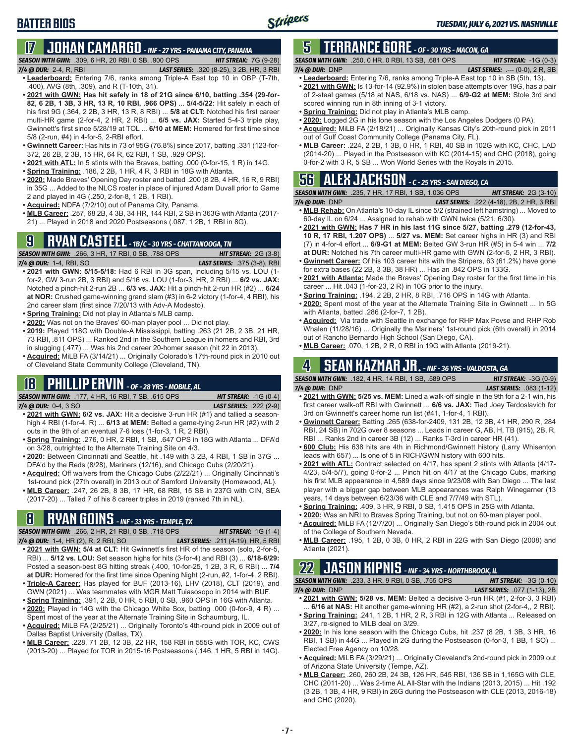# **17 JOHAN CAMARGO** *- INF - 27 YRS - PANAMA CITY, PANAMA*

*SEASON WITH GWN:*.309, 6 HR, 20 RBI, 0 SB, .900 OPS *HIT STREAK:* 7G (9-28)

#### *7/4 @ DUR:* 2-4, R, RBI *LAST SERIES:* .320 (8-25), 3 2B, HR, 3 RBI

**BATTER BIOS**

- **• Leaderboard:** Entering 7/6, ranks among Triple-A East top 10 in OBP (T-7th, .400), AVG (8th, .309), and R (T-10th, 31).
- **• 2021 with GWN: Has hit safely in 18 of 21G since 6/10, batting .354 (29-for-82, 6 2B, 1 3B, 3 HR, 13 R, 10 RBI, .966 OPS)** ... **5/4-5/22:** Hit safely in each of his first 9G (.364, 2 2B, 3 HR, 13 R, 8 RBI) ... **5/8 at CLT:** Notched his first career multi-HR game (2-for-4, 2 HR, 2 RBI) ... **6/5 vs. JAX:** Started 5-4-3 triple play, Gwinnett's first since 5/28/19 at TOL ... **6/10 at MEM:** Homered for first time since 5/8 (2-run, #4) in 4-for-5, 2-RBI effort.
- **• Gwinnett Career:** Has hits in 73 of 95G (76.8%) since 2017, batting .331 (123-for-372, 26 2B, 2 3B, 15 HR, 64 R, 62 RBI, 1 SB, .929 OPS).
- **• 2021 with ATL:** In 5 stints with the Braves, batting .000 (0-for-15, 1 R) in 14G.
- **• Spring Training:** .186, 2 2B, 1 HR, 4 R, 3 RBI in 18G with Atlanta.
- **• 2020:** Made Braves' Opening Day roster and batted .200 (8 2B, 4 HR, 16 R, 9 RBI) in 35G ... Added to the NLCS roster in place of injured Adam Duvall prior to Game 2 and played in 4G (.250, 2-for-8, 1 2B, 1 RBI).
- **• Acquired:** NDFA (7/2/10) out of Panama City, Panama.
- **• MLB Career:** .257, 68 2B, 4 3B, 34 HR, 144 RBI, 2 SB in 363G with Atlanta (2017- 21) ... Played in 2018 and 2020 Postseasons (.087, 1 2B, 1 RBI in 8G).

# **9 RYAN CASTEEL** *- 1B/C - 30 YRS - CHATTANOOGA, TN*

*SEASON WITH GWN:*.266, 3 HR, 17 RBI, 0 SB, .788 OPS *HIT STREAK:* 2G (3-8) *7/4 @ DUR:*1-4, RBI, SO *LAST SERIES:* .375 (3-8), RBI

- **• 2021 with GWN: 5/15-5/18:** Had 6 RBI in 3G span, including 5/15 vs. LOU (1 for-2, GW 3-run 2B, 3 RBI) and 5/16 vs. LOU (1-for-3, HR, 2 RBI) ... **6/2 vs. JAX:** Notched a pinch-hit 2-run 2B ... **6/3 vs. JAX:** Hit a pinch-hit 2-run HR (#2) ... **6/24 at NOR:** Crushed game-winning grand slam (#3) in 6-2 victory (1-for-4, 4 RBI), his 2nd career slam (first since 7/20/13 with Adv-A Modesto).
- **• Spring Training:** Did not play in Atlanta's MLB camp.
- **• 2020:** Was not on the Braves' 60-man player pool ... Did not play.
- **• 2019:** Played 118G with Double-A Mississippi, batting .263 (21 2B, 2 3B, 21 HR, 73 RBI, .811 OPS) ... Ranked 2nd in the Southern League in homers and RBI, 3rd in slugging (.477) ... Was his 2nd career 20-homer season (hit 22 in 2013).
- **• Acquired:** MiLB FA (3/14/21) ... Originally Colorado's 17th-round pick in 2010 out of Cleveland State Community College (Cleveland, TN).

### **18 PHILLIP ERVIN** *- OF - 28 YRS - MOBILE, AL*

*SEASON WITH GWN:*.177, 4 HR, 16 RBI, 7 SB, .615 OPS *HIT STREAK:* -1G (0-4)

- *7/4 @ DUR:*0-4, 3 SO *LAST SERIES:* .222 (2-9) **• 2021 with GWN: 6/2 vs. JAX:** Hit a decisive 3-run HR (#1) and tallied a season-
- high 4 RBI (1-for-4, R) ... **6/13 at MEM:** Belted a game-tying 2-run HR (#2) with 2 outs in the 9th of an eventual 7-6 loss (1-for-3, 1 R, 2 RBI).
- **• Spring Training:** .276, 0 HR, 2 RBI, 1 SB, .647 OPS in 18G with Atlanta ... DFA'd on 3/28, outrighted to the Alternate Training Site on 4/3.
- **• 2020:** Between Cincinnati and Seattle, hit .149 with 3 2B, 4 RBI, 1 SB in 37G ... DFA'd by the Reds (8/28), Mariners (12/16), and Chicago Cubs (2/20/21).
- **• Acquired:** Off waivers from the Chicago Cubs (2/22/21) ... Originally Cincinnati's 1st-round pick (27th overall) in 2013 out of Samford University (Homewood, AL).
- **• MLB Career:** .247, 26 2B, 8 3B, 17 HR, 68 RBI, 15 SB in 237G with CIN, SEA (2017-20) ... Talled 7 of his 8 career triples in 2019 (ranked 7th in NL).

### **8 RYAN GOINS** *- INF - 33 YRS - TEMPLE, TX*

*SEASON WITH GWN:*.266, 2 HR, 21 RBI, 0 SB, .718 OPS *HIT STREAK:* 1G (1-4)

- *7/4 @ DUR:*1-4, HR (2), R, 2 RBI, SO *LAST SERIES:* .211 (4-19), HR, 5 RBI **• 2021 with GWN: 5/4 at CLT:** Hit Gwinnett's first HR of the season (solo, 2-for-5, RBI) ... **5/12 vs. LOU:** Set season highs for hits (3-for-4) and RBI (3) ... **6/18-6/29:** Posted a season-best 8G hitting streak (.400, 10-for-25, 1 2B, 3 R, 6 RBI) ... **7/4 at DUR:** Homered for the first time since Opening Night (2-run, #2, 1-for-4, 2 RBI).
- **• Triple-A Career:** Has played for BUF (2013-16), LHV (2018), CLT (2019), and GWN (2021) ... Was teammates with MGR Matt Tuiasosopo in 2014 with BUF. **• Spring Training:** .391, 2 2B, 0 HR, 5 RBI, 0 SB, .960 OPS in 16G with Atlanta.
- **• 2020:** Played in 14G with the Chicago White Sox, batting .000 (0-for-9, 4 R) ... Spent most of the year at the Alternate Training Site in Schaumburg, IL.
- **• Acquired:** MiLB FA (2/25/21) ... Originally Toronto's 4th-round pick in 2009 out of Dallas Baptist University (Dallas, TX).
- **• MLB Career:** .228, 71 2B, 12 3B, 22 HR, 158 RBI in 555G with TOR, KC, CWS (2013-20) ... Played for TOR in 2015-16 Postseasons (.146, 1 HR, 5 RBI in 14G).

### **5 TERRANCE GORE** *- OF - 30 YRS - MACON, GA*

*SEASON WITH GWN:*.250, 0 HR, 0 RBI, 13 SB, .681 OPS *HIT STREAK:* -1G (0-3) *7/4 @ DUR:*DNP *LAST SERIES:* .--- (0-0), 2 R, SB

- **• Leaderboard:** Entering 7/6, ranks among Triple-A East top 10 in SB (5th, 13). **• 2021 with GWN:** Is 13-for-14 (92.9%) in stolen base attempts over 19G, has a pair of 2-steal games (5/18 at NAS, 6/18 vs. NAS) ... **6/9-G2 at MEM:** Stole 3rd and scored winning run in 8th inning of 3-1 victory.
- **• Spring Training:** Did not play in Atlanta's MLB camp.
- **• 2020:** Logged 2G in his lone season with the Los Angeles Dodgers (0 PA).
- **• Acquired:** MiLB FA (2/18/21) ... Originally Kansas City's 20th-round pick in 2011 out of Gulf Coast Community College (Panama City, FL).
- **• MLB Career:** .224, 2 2B, 1 3B, 0 HR, 1 RBI, 40 SB in 102G with KC, CHC, LAD (2014-20) ... Played in the Postseason with KC (2014-15) and CHC (2018), going 0-for-2 with 3 R, 5 SB ... Won World Series with the Royals in 2015.

# **56 ALEX JACKSON** *- C - 25 YRS - SAN DIEGO, CA*

*SEASON WITH GWN:*.235, 7 HR, 17 RBI, 1 SB, 1.036 OPS *HIT STREAK:* 2G (3-10) *7/4 @ DUR:*DNP *LAST SERIES:* .222 (4-18), 2B, 2 HR, 3 RBI

- **• MLB Rehab:** On Atlanta's 10-day IL since 5/2 (strained left hamstring) ... Moved to 60-day IL on 6/24 ... Assigned to rehab with GWN twice (5/21, 6/30).
- **• 2021 with GWN: Has 7 HR in his last 11G since 5/27, batting .279 (12-for-43, 10 R, 17 RBI, 1.207 OPS)** ... **5/27 vs. MEM:** Set career highs in HR (3) and RBI (7) in 4-for-4 effort ... **6/9-G1 at MEM:** Belted GW 3-run HR (#5) in 5-4 win ... **7/2 at DUR:** Notched his 7th career multi-HR game with GWN (2-for-5, 2 HR, 3 RBI).
- **• Gwinnett Career:** Of his 103 career hits with the Stripers, 63 (61.2%) have gone for extra bases (22 2B, 3 3B, 38 HR) ... Has an .842 OPS in 133G.
- **• 2021 with Atlanta:** Made the Braves' Opening Day roster for the first time in his career ... Hit .043 (1-for-23, 2 R) in 10G prior to the injury.
- **• Spring Training:** .194, 2 2B, 2 HR, 8 RBI, .716 OPS in 14G with Atlanta.
- **• 2020:** Spent most of the year at the Alternate Training Site in Gwinnett ... In 5G with Atlanta, batted .286 (2-for-7, 1 2B).
- **• Acquired:** Via trade with Seattle in exchange for RHP Max Povse and RHP Rob Whalen (11/28/16) ... Originally the Mariners' 1st-round pick (6th overall) in 2014 out of Rancho Bernardo High School (San Diego, CA).
- **• MLB Career:** .070, 1 2B, 2 R, 0 RBI in 19G with Atlanta (2019-21).

### **4 SEAN KAZMAR JR.** *- INF - 36 YRS - VALDOSTA, GA*

| <b>SEASON WITH GWN: .182, 4 HR, 14 RBI, 1 SB, .589 OPS</b> | <b>HIT STREAK: <math>-3G(0-9)</math></b> |
|------------------------------------------------------------|------------------------------------------|
| $7/4$ @ DUR: DNP                                           | <b>LAST SERIES:</b> .083 (1-12)          |

- **• 2021 with GWN: 5/25 vs. MEM:** Lined a walk-off single in the 9th for a 2-1 win, his first career walk-off RBI with Gwinnett ... **6/6 vs. JAX:** Tied Joey Terdoslavich for 3rd on Gwinnett's career home run list (#41, 1-for-4, 1 RBI).
- **• Gwinnett Career:** Batting .265 (638-for-2409, 131 2B, 12 3B, 41 HR, 290 R, 284 RBI, 24 SB) in 702G over 8 seasons ... Leads in career G, AB, H, TB (915), 2B, R, RBI ... Ranks 2nd in career 3B (12) ... Ranks T-3rd in career HR (41).
- **• 600 Club:** His 638 hits are 4th in Richmond/Gwinnett history (Larry Whisenton leads with 657) ... Is one of 5 in RICH/GWN history with 600 hits.
- **• 2021 with ATL:** Contract selected on 4/17, has spent 2 stints with Atlanta (4/17- 4/23, 5/4-5/7), going 0-for-2 ... Pinch hit on 4/17 at the Chicago Cubs, marking his first MLB appearance in 4,589 days since 9/23/08 with San Diego ... The last player with a bigger gap between MLB appearances was Ralph Winegarner (13 years, 14 days between 6/23/36 with CLE and 7/7/49 with STL).
- **• Spring Training:** .409, 3 HR, 9 RBI, 0 SB, 1.415 OPS in 25G with Atlanta.
- **• 2020:** Was an NRI to Braves Spring Training, but not on 60-man player pool.
- **• Acquired:** MiLB FA (12/7/20) ... Originally San Diego's 5th-round pick in 2004 out of the College of Southern Nevada.
- **• MLB Career:** .195, 1 2B, 0 3B, 0 HR, 2 RBI in 22G with San Diego (2008) and Atlanta (2021).

# **22 JASON KIPNIS** *- INF - 34 YRS - NORTHBROOK, IL*

*SEASON WITH GWN:*.233, 3 HR, 9 RBI, 0 SB, .755 OPS *HIT STREAK:* -3G (0-10) *7/4 @ DUR:*DNP *LAST SERIES:* .077 (1-13), 2B

- **• 2021 with GWN: 5/28 vs. MEM:** Belted a decisive 3-run HR (#1, 2-for-3, 3 RBI) 6/16 at NAS: Hit another game-winning HR (#2), a 2-run shot (2-for-4,, 2 RBI).
- **• Spring Training:** .241, 1 2B, 1 HR, 2 R, 3 RBI in 12G with Atlanta ... Released on 3/27, re-signed to MiLB deal on 3/29.
- **• 2020:** In his lone season with the Chicago Cubs, hit .237 (8 2B, 1 3B, 3 HR, 16 RBI, 1 SB) in 44G ... Played in 2G during the Postseason (0-for-3, 1 BB, 1 SO) ... Elected Free Agency on 10/28.
- **• Acquired:** MiLB FA (3/29/21) ... Originally Cleveland's 2nd-round pick in 2009 out of Arizona State University (Tempe, AZ).
- **• MLB Career:** .260, 260 2B, 24 3B, 126 HR, 545 RBI, 136 SB in 1,165G with CLE, CHC (2011-20) ... Was 2-time AL All-Star with the Indians (2013, 2015) ... Hit .192 (3 2B, 1 3B, 4 HR, 9 RBI) in 26G during the Postseason with CLE (2013, 2016-18) and CHC (2020).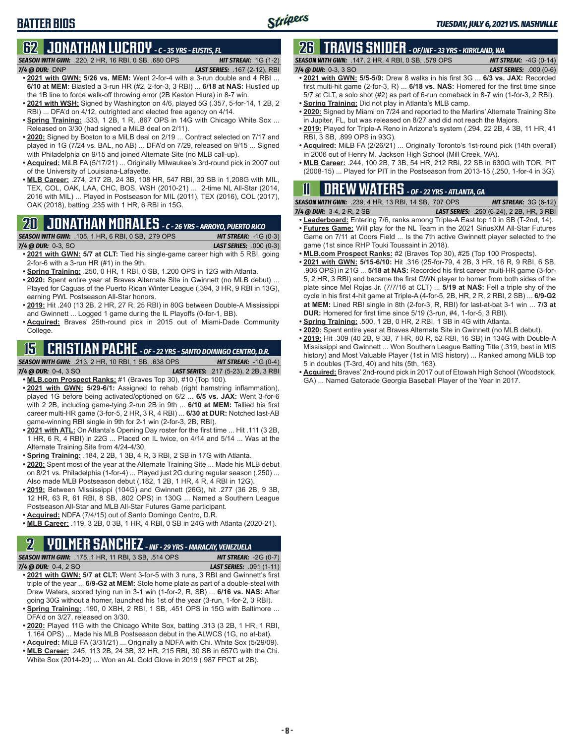### **BATTER BIOS**

# **62 JONATHAN LUCROY** *- C - 35 YRS - EUSTIS, FL*

*SEASON WITH GWN:*.220, 2 HR, 16 RBI, 0 SB, .680 OPS *HIT STREAK:* 1G (1-2) *7/4 @ DUR:*DNP *LAST SERIES:* .167 (2-12), RBI

- **• 2021 with GWN: 5/26 vs. MEM:** Went 2-for-4 with a 3-run double and 4 RBI ... **6/10 at MEM:** Blasted a 3-run HR (#2, 2-for-3, 3 RBI) ... **6/18 at NAS:** Hustled up the 1B line to force walk-off throwing error (2B Keston Hiura) in 8-7 win.
- **• 2021 with WSH:** Signed by Washington on 4/6, played 5G (.357, 5-for-14, 1 2B, 2 RBI) ... DFA'd on 4/12, outrighted and elected free agency on 4/14.
- **• Spring Training:** .333, 1 2B, 1 R, .867 OPS in 14G with Chicago White Sox ... Released on 3/30 (had signed a MiLB deal on 2/11).
- **• 2020:** Signed by Boston to a MiLB deal on 2/19 ... Contract selected on 7/17 and played in 1G (7/24 vs. BAL, no AB) ... DFA'd on 7/29, released on 9/15 ... Signed with Philadelphia on 9/15 and joined Alternate Site (no MLB call-up).
- **• Acquired:** MiLB FA (5/17/21) ... Originally Milwaukee's 3rd-round pick in 2007 out of the University of Louisiana-Lafayette.
- **• MLB Career:** .274, 217 2B, 24 3B, 108 HR, 547 RBI, 30 SB in 1,208G with MIL, TEX, COL, OAK, LAA, CHC, BOS, WSH (2010-21) ... 2-time NL All-Star (2014, 2016 with MIL) ... Played in Postseason for MIL (2011), TEX (2016), COL (2017), OAK (2018), batting .235 with 1 HR, 6 RBI in 15G.

### **20 JONATHAN MORALES** *- C - 26 YRS - ARROYO, PUERTO RICO*

*SEASON WITH GWN:*.105, 1 HR, 6 RBI, 0 SB, .279 OPS *HIT STREAK:* -1G (0-3) *7/4 @ DUR:*0-3, SO *LAST SERIES:* .000 (0-3)

- **• 2021 with GWN: 5/7 at CLT:** Tied his single-game career high with 5 RBI, going 2-for-6 with a 3-run HR (#1) in the 9th.
- **• Spring Training:** .250, 0 HR, 1 RBI, 0 SB, 1.200 OPS in 12G with Atlanta.
- **• 2020:** Spent entire year at Braves Alternate Site in Gwinnett (no MLB debut) ... Played for Caguas of the Puerto Rican Winter League (.394, 3 HR, 9 RBI in 13G), earning PWL Postseason All-Star honors.
- **• 2019:** Hit .240 (13 2B, 2 HR, 27 R, 25 RBI) in 80G between Double-A Mississippi and Gwinnett ... Logged 1 game during the IL Playoffs (0-for-1, BB).
- **• Acquired:** Braves' 25th-round pick in 2015 out of Miami-Dade Community College.

# **15 CRISTIAN PACHE** *- OF - 22 YRS - SANTO DOMINGO CENTRO, D.R.*

*SEASON WITH GWN:*.213, 2 HR, 10 RBI, 1 SB, .638 OPS *HIT STREAK:* -1G (0-4) *7/4 @ DUR:* 0-4, 3 SO *LAST SERIES:* .217 (5-23), 2 2B, 3 RBI

- **• MLB.com Prospect Ranks:** #1 (Braves Top 30), #10 (Top 100). **• 2021 with GWN: 5/29-6/1:** Assigned to rehab (right hamstring inflammation),
- played 1G before being activated/optioned on 6/2 ... **6/5 vs. JAX:** Went 3-for-6 with 2 2B, including game-tying 2-run 2B in 9th ... **6/10 at MEM:** Tallied his first career multi-HR game (3-for-5, 2 HR, 3 R, 4 RBI) ... **6/30 at DUR:** Notched last-AB game-winning RBI single in 9th for 2-1 win (2-for-3, 2B, RBI).
- **• 2021 with ATL:** On Atlanta's Opening Day roster for the first time ... Hit .111 (3 2B, 1 HR, 6 R, 4 RBI) in 22G ... Placed on IL twice, on 4/14 and 5/14 ... Was at the Alternate Training Site from 4/24-4/30.
- **• Spring Training:** .184, 2 2B, 1 3B, 4 R, 3 RBI, 2 SB in 17G with Atlanta.
- **• 2020:** Spent most of the year at the Alternate Training Site ... Made his MLB debut on 8/21 vs. Philadelphia (1-for-4) ... Played just 2G during regular season (.250) ... Also made MLB Postseason debut (.182, 1 2B, 1 HR, 4 R, 4 RBI in 12G).
- **• 2019:** Between Mississippi (104G) and Gwinnett (26G), hit .277 (36 2B, 9 3B, 12 HR, 63 R, 61 RBI, 8 SB, .802 OPS) in 130G ... Named a Southern League Postseason All-Star and MLB All-Star Futures Game participant.
- **• Acquired:** NDFA (7/4/15) out of Santo Domingo Centro, D.R.
- **• MLB Career:** .119, 3 2B, 0 3B, 1 HR, 4 RBI, 0 SB in 24G with Atlanta (2020-21).

#### **2 YOLMER SANCHEZ** *- INF - 29 YRS - MARACAY, VENEZUELA*

*SEASON WITH GWN:*.175, 1 HR, 11 RBI, 3 SB, .514 OPS *HIT STREAK:* -2G (0-7)

- *7/4 @ DUR:*0-4, 2 SO *LAST SERIES:* .091 (1-11) **• 2021 with GWN: 5/7 at CLT:** Went 3-for-5 with 3 runs, 3 RBI and Gwinnett's first triple of the year ... **6/9-G2 at MEM:** Stole home plate as part of a double-steal with Drew Waters, scored tying run in 3-1 win (1-for-2, R, SB) ... **6/16 vs. NAS:** After going 30G without a homer, launched his 1st of the year (3-run, 1-for-2, 3 RBI).
- **• Spring Training:** .190, 0 XBH, 2 RBI, 1 SB, .451 OPS in 15G with Baltimore ... DFA'd on 3/27, released on 3/30.
- **• 2020:** Played 11G with the Chicago White Sox, batting .313 (3 2B, 1 HR, 1 RBI, 1.164 OPS) ... Made his MLB Postseason debut in the ALWCS (1G, no at-bat).
- **• Acquired:** MiLB FA (3/31/21) ... Originally a NDFA with Chi. White Sox (5/29/09). **• MLB Career:** .245, 113 2B, 24 3B, 32 HR, 215 RBI, 30 SB in 657G with the Chi. White Sox (2014-20) ... Won an AL Gold Glove in 2019 (.987 FPCT at 2B).

# **26 TRAVIS SNIDER** *- OF/INF - 33 YRS - KIRKLAND, WA*

| <b>SEASON WITH GWN: .147, 2 HR, 4 RBI, 0 SB, .579 OPS</b> |  |  |  |  | <b>HIT STREAK:</b> $-4G$ (0-14) |  |  |
|-----------------------------------------------------------|--|--|--|--|---------------------------------|--|--|
| $7/4$ @ DUR: 0-3, 3 SO                                    |  |  |  |  | <b>LAST SERIES:</b> $.000(0-6)$ |  |  |
| $-0.001$ $-0.0001$ $-0.0001$ $-0.0001$ $-0.0001$          |  |  |  |  | $\cdots$                        |  |  |

- **• 2021 with GWN: 5/5-5/9:** Drew 8 walks in his first 3G ... **6/3 vs. JAX:** Recorded first multi-hit game (2-for-3, R) ... **6/18 vs. NAS:** Homered for the first time since 5/7 at CLT, a solo shot (#2) as part of 6-run comeback in 8-7 win (1-for-3, 2 RBI).
- **• Spring Training:** Did not play in Atlanta's MLB camp.
- **• 2020:** Signed by Miami on 7/24 and reported to the Marlins' Alternate Training Site in Jupiter, FL, but was released on 8/27 and did not reach the Majors.
- **• 2019:** Played for Triple-A Reno in Arizona's system (.294, 22 2B, 4 3B, 11 HR, 41 RBI, 3 SB, .899 OPS in 93G).
- **• Acquired:** MiLB FA (2/26/21) ... Originally Toronto's 1st-round pick (14th overall) in 2006 out of Henry M. Jackson High School (Mill Creek, WA).
- **• MLB Career:** .244, 100 2B, 7 3B, 54 HR, 212 RBI, 22 SB in 630G with TOR, PIT (2008-15) ... Played for PIT in the Postseason from 2013-15 (.250, 1-for-4 in 3G).

# **11 Drew WATERS** *- OF - 22 YRS - ATLANTA, GA*

|                                         | <b>SEASON WITH GWN:</b> .239, 4 HR, 13 RBI, 14 SB, .707 OPS \ | <b>HIT STREAK: 3G (6-12)</b>                      |  |
|-----------------------------------------|---------------------------------------------------------------|---------------------------------------------------|--|
| 7/ $\mu$ @ NID $\cdot$ 3 $\mu$ 2 D 2 CD |                                                               | <b>IACT CEDIEC.</b> $250(6, 24)$ $220$ HD $3$ DRI |  |

- *7/4 @ DUR:*3-4, 2 R, 2 SB *LAST SERIES:* .250 (6-24), 2 2B, HR, 3 RBI **• Leaderboard:** Entering 7/6, ranks among Triple-A East top 10 in SB (T-2nd, 14).
- **• Futures Game:** Will play for the NL Team in the 2021 SiriusXM All-Star Futures Game on 7/11 at Coors Field ... Is the 7th active Gwinnett player selected to the game (1st since RHP Touki Toussaint in 2018).
- **• MLB.com Prospect Ranks:** #2 (Braves Top 30), #25 (Top 100 Prospects).
- **• 2021 with GWN: 5/15-6/10:** Hit .316 (25-for-79, 4 2B, 3 HR, 16 R, 9 RBI, 6 SB, .906 OPS) in 21G ... **5/18 at NAS:** Recorded his first career multi-HR game (3-for-5, 2 HR, 3 RBI) and became the first GWN player to homer from both sides of the plate since Mel Rojas Jr. (7/7/16 at CLT) ... **5/19 at NAS:** Fell a triple shy of the cycle in his first 4-hit game at Triple-A (4-for-5, 2B, HR, 2 R, 2 RBI, 2 SB) ... **6/9-G2 at MEM:** Lined RBI single in 8th (2-for-3, R, RBI) for last-at-bat 3-1 win ... **7/3 at DUR:** Homered for first time since 5/19 (3-run, #4, 1-for-5, 3 RBI).
- **• Spring Training:** .500, 1 2B, 0 HR, 2 RBI, 1 SB in 4G with Atlanta.
- **• 2020:** Spent entire year at Braves Alternate Site in Gwinnett (no MLB debut).
- **• 2019:** Hit .309 (40 2B, 9 3B, 7 HR, 80 R, 52 RBI, 16 SB) in 134G with Double-A Mississippi and Gwinnett ... Won Southern League Batting Title (.319, best in MIS history) and Most Valuable Player (1st in MIS history) ... Ranked among MiLB top 5 in doubles (T-3rd, 40) and hits (5th, 163).
- **• Acquired:** Braves' 2nd-round pick in 2017 out of Etowah High School (Woodstock, GA) ... Named Gatorade Georgia Baseball Player of the Year in 2017.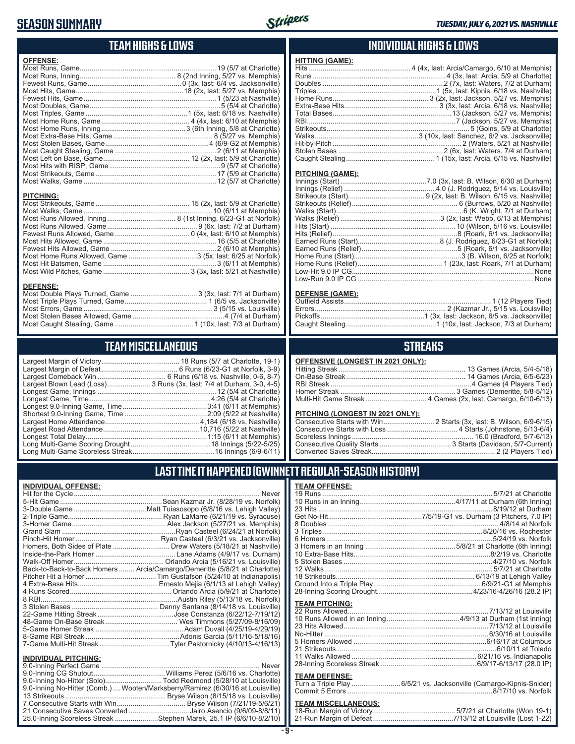#### **SEASON SUMMARY**

**DEFENSE:**



#### **TEAM HIGHS & LOWS**

| <b>OFFENSE:</b>  |  |
|------------------|--|
|                  |  |
|                  |  |
|                  |  |
|                  |  |
| <b>PITCHING:</b> |  |
|                  |  |
|                  |  |

Fewest Hits Allowed, Game ......................................................2 (6/10 at Memphis) Most Home Runs Allowed, Game ...................................3 (5x, last: 6/25 at Norfolk) Most Hit Batsmen, Game ..........................................................3 (6/11 at Memphis) Most Wild Pitches, Game ............................................ 3 (3x, last: 5/21 at Nashville)

Most Double Plays Turned, Game .................................. 3 (3x, last: 7/1 at Durham) Most Triple Plays Turned, Game .......................................... 1 (6/5 vs. Jacksonville) Most Errors, Game ..................................................................3 (5/15 vs. Louisville) Most Stolen Bases Allowed, Game ...............................................4 (7/4 at Durham) Most Caught Stealing, Game ........................................ 1 (10x, last: 7/3 at Durham)

**TEAM MISCELLANEOUS** Largest Margin of Victory........................................ 18 Runs (5/7 at Charlotte, 19-1) Largest Margin of Defeat ....................................... 6 Runs (6/23-G1 at Norfolk, 3-9) Largest Comeback Win ................................... 6 Runs (6/18 vs. Nashville, 0-6, 8-7) Largest Blown Lead (Loss)...................... 3 Runs (3x, last: 7/4 at Durham, 3-0, 4-5) Longest Game, Innings .............................................................12 (5/4 at Charlotte) Longest Game, Time ..............................................................4:26 (5/4 at Charlotte) Longest 9.0-Inning Game, Time ...........................................3:41 (6/11 at Memphis) Shortest 9.0-Inning Game, Time ..........................................2:09 (5/22 at Nashville) Largest Home Attendance ................................................ 4,184 (6/18 vs. Nashville) Largest Road Attendance .................................................10,716 (5/22 at Nashville) Longest Total Delay..............................................................1:15 (6/11 at Memphis) Long Multi-Game Scoring Drought .........................................18 Innings (5/22-5/25) Long Multi-Game Scoreless Streak ..........................................16 Innings (6/9-6/11)

#### **INDIVIDUAL HIGHS & LOWS**

#### **PITCHING (GAME):**

**HITTING (GAME):**

#### **DEFENSE (GAME):**

#### **STREAKS**

#### **PITCHING (LONGEST IN 2021 ONLY):**

| <u>LITOTING (LONGLOT IN 2021 ONE IT.</u> |  |
|------------------------------------------|--|
|                                          |  |
|                                          |  |
|                                          |  |
|                                          |  |
|                                          |  |
|                                          |  |

#### **LAST TIME IT HAPPENED (GWINNETT REGULAR-SEASON HISTORY)**

| <b>INDIVIDUAL OFFENSE:</b>     |                                                                            |
|--------------------------------|----------------------------------------------------------------------------|
|                                |                                                                            |
|                                |                                                                            |
|                                |                                                                            |
|                                |                                                                            |
|                                |                                                                            |
|                                |                                                                            |
|                                |                                                                            |
|                                | Homers, Both Sides of Plate  Drew Waters (5/18/21 at Nashville)            |
|                                |                                                                            |
|                                |                                                                            |
|                                | Back-to-Back-to-Back Homers  Arcia/Camargo/Demeritte (5/8/21 at Charlotte) |
|                                |                                                                            |
|                                |                                                                            |
|                                |                                                                            |
|                                |                                                                            |
|                                |                                                                            |
|                                |                                                                            |
|                                |                                                                            |
|                                |                                                                            |
|                                |                                                                            |
|                                |                                                                            |
| <b>INDIVIDUAL PITCHING:</b>    |                                                                            |
| <b>9 A-Inning Perfect Game</b> | Never                                                                      |

| 9.0-Inning No-Hitter (Solo)Todd Redmond (5/28/10 at Louisville)                 |  |
|---------------------------------------------------------------------------------|--|
| 9.0-Inning No-Hitter (Comb.)  Wooten/Marksberry/Ramirez (6/30/16 at Louisville) |  |
|                                                                                 |  |
|                                                                                 |  |
| 21 Consecutive Saves Converted Jairo Asencio (9/6/09-8/8/11)                    |  |
| 25.0-Inning Scoreless Streak Stephen Marek, 25.1 IP (6/6/10-8/2/10)             |  |

#### **TEAM OFFENSE:**

| <b>TEAM PITCHING:</b> |                                                                    |
|-----------------------|--------------------------------------------------------------------|
|                       |                                                                    |
|                       |                                                                    |
|                       |                                                                    |
|                       |                                                                    |
|                       |                                                                    |
|                       |                                                                    |
|                       |                                                                    |
|                       |                                                                    |
|                       |                                                                    |
| <b>TEAM DEFENSE:</b>  |                                                                    |
|                       | Turn a Triple Play 6/5/21 vs. Jacksonville (Camargo-Kipnis-Snider) |

### Commit 5 Errors ..........................................................................8/17/10 vs. Norfolk

#### **TEAM MISCELLANEOUS:**

| 21-Run Margin of Defeat…………………………………7/13/12 at Louisville (Lost 1-22) |  |
|-----------------------------------------------------------------------|--|